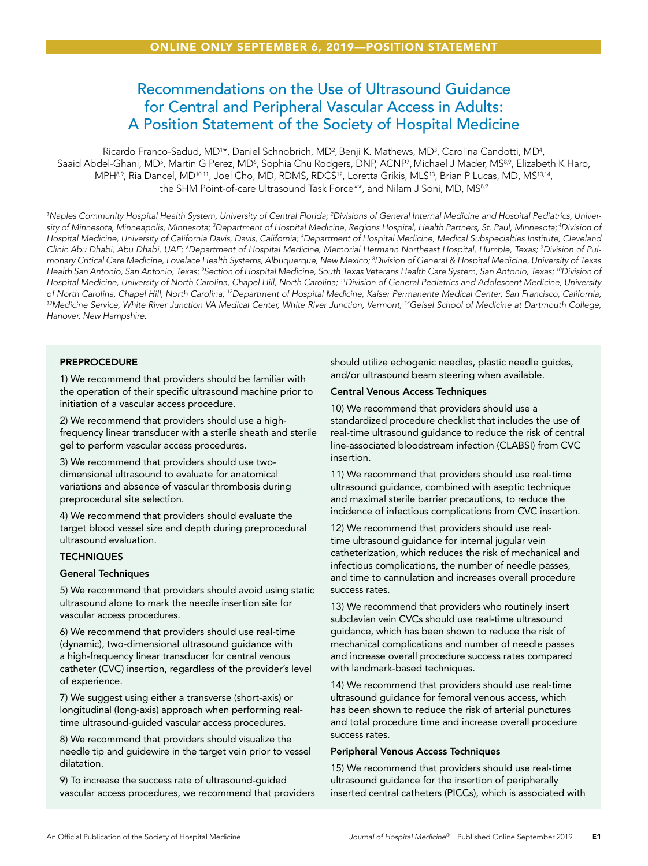# Recommendations on the Use of Ultrasound Guidance for Central and Peripheral Vascular Access in Adults: A Position Statement of the Society of Hospital Medicine

Ricardo Franco-Sadud, MD<sup>1</sup>\*, Daniel Schnobrich, MD<sup>2</sup>, Benji K. Mathews, MD<sup>3</sup>, Carolina Candotti, MD<sup>4</sup>, Saaid Abdel-Ghani, MD<sup>5</sup>, Martin G Perez, MD<sup>6</sup>, Sophia Chu Rodgers, DNP, ACNP<sup>7</sup>, Michael J Mader, MS<sup>8,9</sup>, Elizabeth K Haro, MPH8,9, Ria Dancel, MD<sup>10,11</sup>, Joel Cho, MD, RDMS, RDCS<sup>12</sup>, Loretta Grikis, MLS<sup>13</sup>, Brian P Lucas, MD, MS<sup>13,14</sup>, the SHM Point-of-care Ultrasound Task Force\*\*, and Nilam J Soni, MD, MS<sup>8,9</sup>

*1 Naples Community Hospital Health System, University of Central Florida; 2 Divisions of General Internal Medicine and Hospital Pediatrics, University of Minnesota, Minneapolis, Minnesota; 3 Department of Hospital Medicine, Regions Hospital, Health Partners, St. Paul, Minnesota; 4Division of Hospital Medicine, University of California Davis, Davis, California; 5 Department of Hospital Medicine, Medical Subspecialties Institute, Cleveland*  Clinic Abu Dhabi, Abu Dhabi, UAE; <sup>6</sup>Department of Hospital Medicine, Memorial Hermann Northeast Hospital, Humble, Texas; <sup>7</sup>Division of Pul*monary Critical Care Medicine, Lovelace Health Systems, Albuquerque, New Mexico; 8 Division of General & Hospital Medicine, University of Texas Health San Antonio, San Antonio, Texas; 9 Section of Hospital Medicine, South Texas Veterans Health Care System, San Antonio, Texas; 10Division of Hospital Medicine, University of North Carolina, Chapel Hill, North Carolina; 11Division of General Pediatrics and Adolescent Medicine, University*  of North Carolina, Chapel Hill, North Carolina; <sup>12</sup>Department of Hospital Medicine, Kaiser Permanente Medical Center, San Francisco, California;<br><sup>13</sup>Medicine Service, White River Junction VA Medical Center, White River Ju *Hanover, New Hampshire.*

### **PREPROCEDURE**

1) We recommend that providers should be familiar with the operation of their specific ultrasound machine prior to initiation of a vascular access procedure.

2) We recommend that providers should use a highfrequency linear transducer with a sterile sheath and sterile gel to perform vascular access procedures.

3) We recommend that providers should use twodimensional ultrasound to evaluate for anatomical variations and absence of vascular thrombosis during preprocedural site selection.

4) We recommend that providers should evaluate the target blood vessel size and depth during preprocedural ultrasound evaluation.

#### **TECHNIQUES**

#### General Techniques

5) We recommend that providers should avoid using static ultrasound alone to mark the needle insertion site for vascular access procedures.

6) We recommend that providers should use real-time (dynamic), two-dimensional ultrasound guidance with a high-frequency linear transducer for central venous catheter (CVC) insertion, regardless of the provider's level of experience.

7) We suggest using either a transverse (short-axis) or longitudinal (long-axis) approach when performing realtime ultrasound-guided vascular access procedures.

8) We recommend that providers should visualize the needle tip and guidewire in the target vein prior to vessel dilatation.

9) To increase the success rate of ultrasound-guided vascular access procedures, we recommend that providers should utilize echogenic needles, plastic needle guides, and/or ultrasound beam steering when available.

#### Central Venous Access Techniques

10) We recommend that providers should use a standardized procedure checklist that includes the use of real-time ultrasound guidance to reduce the risk of central line-associated bloodstream infection (CLABSI) from CVC insertion.

11) We recommend that providers should use real-time ultrasound guidance, combined with aseptic technique and maximal sterile barrier precautions, to reduce the incidence of infectious complications from CVC insertion.

12) We recommend that providers should use realtime ultrasound guidance for internal jugular vein catheterization, which reduces the risk of mechanical and infectious complications, the number of needle passes, and time to cannulation and increases overall procedure success rates.

13) We recommend that providers who routinely insert subclavian vein CVCs should use real-time ultrasound guidance, which has been shown to reduce the risk of mechanical complications and number of needle passes and increase overall procedure success rates compared with landmark-based techniques.

14) We recommend that providers should use real-time ultrasound guidance for femoral venous access, which has been shown to reduce the risk of arterial punctures and total procedure time and increase overall procedure success rates.

#### Peripheral Venous Access Techniques

15) We recommend that providers should use real-time ultrasound guidance for the insertion of peripherally inserted central catheters (PICCs), which is associated with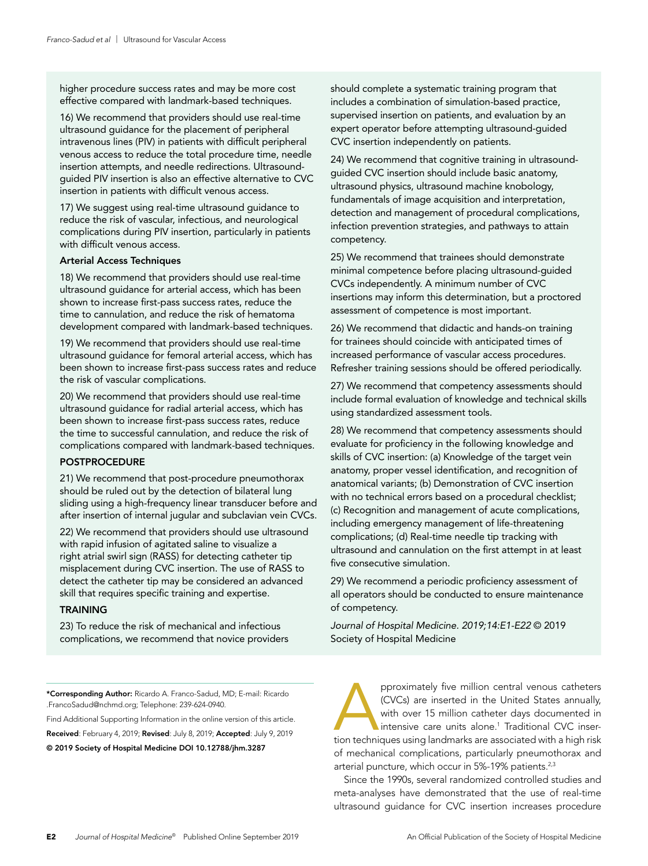higher procedure success rates and may be more cost effective compared with landmark-based techniques.

16) We recommend that providers should use real-time ultrasound guidance for the placement of peripheral intravenous lines (PIV) in patients with difficult peripheral venous access to reduce the total procedure time, needle insertion attempts, and needle redirections. Ultrasoundguided PIV insertion is also an effective alternative to CVC insertion in patients with difficult venous access.

17) We suggest using real-time ultrasound guidance to reduce the risk of vascular, infectious, and neurological complications during PIV insertion, particularly in patients with difficult venous access.

#### Arterial Access Techniques

18) We recommend that providers should use real-time ultrasound guidance for arterial access, which has been shown to increase first-pass success rates, reduce the time to cannulation, and reduce the risk of hematoma development compared with landmark-based techniques.

19) We recommend that providers should use real-time ultrasound guidance for femoral arterial access, which has been shown to increase first-pass success rates and reduce the risk of vascular complications.

20) We recommend that providers should use real-time ultrasound guidance for radial arterial access, which has been shown to increase first-pass success rates, reduce the time to successful cannulation, and reduce the risk of complications compared with landmark-based techniques.

#### POSTPROCEDURE

21) We recommend that post-procedure pneumothorax should be ruled out by the detection of bilateral lung sliding using a high-frequency linear transducer before and after insertion of internal jugular and subclavian vein CVCs.

22) We recommend that providers should use ultrasound with rapid infusion of agitated saline to visualize a right atrial swirl sign (RASS) for detecting catheter tip misplacement during CVC insertion. The use of RASS to detect the catheter tip may be considered an advanced skill that requires specific training and expertise.

#### **TRAINING**

23) To reduce the risk of mechanical and infectious complications, we recommend that novice providers should complete a systematic training program that includes a combination of simulation-based practice, supervised insertion on patients, and evaluation by an expert operator before attempting ultrasound-guided CVC insertion independently on patients.

24) We recommend that cognitive training in ultrasoundguided CVC insertion should include basic anatomy, ultrasound physics, ultrasound machine knobology, fundamentals of image acquisition and interpretation, detection and management of procedural complications, infection prevention strategies, and pathways to attain competency.

25) We recommend that trainees should demonstrate minimal competence before placing ultrasound-guided CVCs independently. A minimum number of CVC insertions may inform this determination, but a proctored assessment of competence is most important.

26) We recommend that didactic and hands-on training for trainees should coincide with anticipated times of increased performance of vascular access procedures. Refresher training sessions should be offered periodically.

27) We recommend that competency assessments should include formal evaluation of knowledge and technical skills using standardized assessment tools.

28) We recommend that competency assessments should evaluate for proficiency in the following knowledge and skills of CVC insertion: (a) Knowledge of the target vein anatomy, proper vessel identification, and recognition of anatomical variants; (b) Demonstration of CVC insertion with no technical errors based on a procedural checklist; (c) Recognition and management of acute complications, including emergency management of life-threatening complications; (d) Real-time needle tip tracking with ultrasound and cannulation on the first attempt in at least five consecutive simulation.

29) We recommend a periodic proficiency assessment of all operators should be conducted to ensure maintenance of competency.

*Journal of Hospital Medicine. 2019;14:E1-E22* © 2019 Society of Hospital Medicine

\*Corresponding Author: Ricardo A. Franco-Sadud, MD; E-mail: Ricardo .FrancoSadud@nchmd.org; Telephone: 239-624-0940.

Find Additional Supporting Information in the online version of this article. Received: February 4, 2019; Revised: July 8, 2019; Accepted: July 9, 2019 © 2019 Society of Hospital Medicine DOI 10.12788/jhm.3287

pproximately five million central venous catheters (CVCs) are inserted in the United States annually, with over 15 million catheter days documented in intensive care units alone.<sup>1</sup> Traditional CVC insertion techniques usi (CVCs) are inserted in the United States annually, with over 15 million catheter days documented in intensive care units alone.<sup>1</sup> Traditional CVC inserof mechanical complications, particularly pneumothorax and arterial puncture, which occur in 5%-19% patients.<sup>2,3</sup>

Since the 1990s, several randomized controlled studies and meta-analyses have demonstrated that the use of real-time ultrasound guidance for CVC insertion increases procedure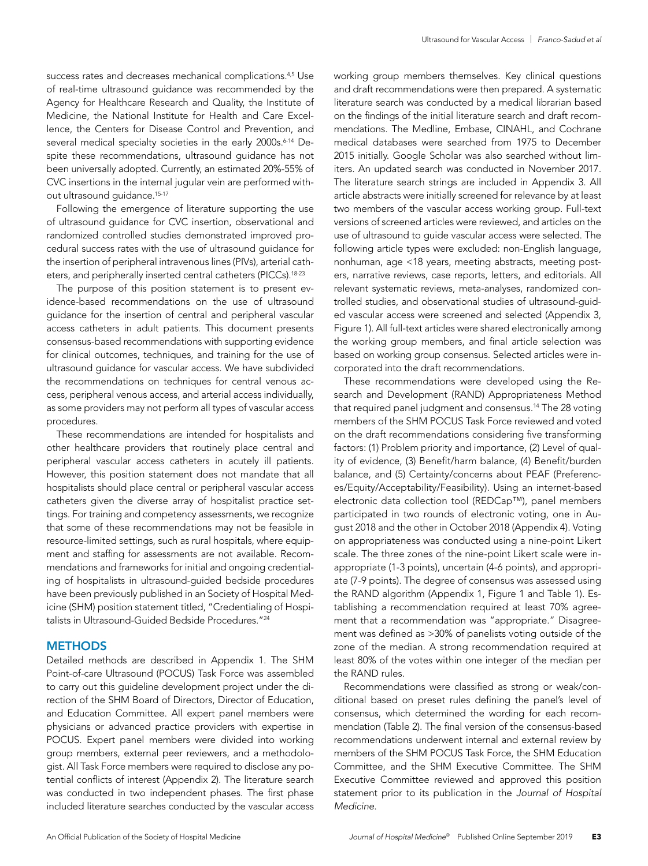success rates and decreases mechanical complications.<sup>4,5</sup> Use of real-time ultrasound guidance was recommended by the Agency for Healthcare Research and Quality, the Institute of Medicine, the National Institute for Health and Care Excellence, the Centers for Disease Control and Prevention, and several medical specialty societies in the early 2000s.<sup>6-14</sup> Despite these recommendations, ultrasound guidance has not been universally adopted. Currently, an estimated 20%-55% of CVC insertions in the internal jugular vein are performed without ultrasound guidance.<sup>15-17</sup>

Following the emergence of literature supporting the use of ultrasound guidance for CVC insertion, observational and randomized controlled studies demonstrated improved procedural success rates with the use of ultrasound guidance for the insertion of peripheral intravenous lines (PIVs), arterial catheters, and peripherally inserted central catheters (PICCs).<sup>18-23</sup>

The purpose of this position statement is to present evidence-based recommendations on the use of ultrasound guidance for the insertion of central and peripheral vascular access catheters in adult patients. This document presents consensus-based recommendations with supporting evidence for clinical outcomes, techniques, and training for the use of ultrasound guidance for vascular access. We have subdivided the recommendations on techniques for central venous access, peripheral venous access, and arterial access individually, as some providers may not perform all types of vascular access procedures.

These recommendations are intended for hospitalists and other healthcare providers that routinely place central and peripheral vascular access catheters in acutely ill patients. However, this position statement does not mandate that all hospitalists should place central or peripheral vascular access catheters given the diverse array of hospitalist practice settings. For training and competency assessments, we recognize that some of these recommendations may not be feasible in resource-limited settings, such as rural hospitals, where equipment and staffing for assessments are not available. Recommendations and frameworks for initial and ongoing credentialing of hospitalists in ultrasound-guided bedside procedures have been previously published in an Society of Hospital Medicine (SHM) position statement titled, "Credentialing of Hospitalists in Ultrasound-Guided Bedside Procedures."24

#### **METHODS**

Detailed methods are described in Appendix 1. The SHM Point-of-care Ultrasound (POCUS) Task Force was assembled to carry out this guideline development project under the direction of the SHM Board of Directors, Director of Education, and Education Committee. All expert panel members were physicians or advanced practice providers with expertise in POCUS. Expert panel members were divided into working group members, external peer reviewers, and a methodologist. All Task Force members were required to disclose any potential conflicts of interest (Appendix 2). The literature search was conducted in two independent phases. The first phase included literature searches conducted by the vascular access working group members themselves. Key clinical questions and draft recommendations were then prepared. A systematic literature search was conducted by a medical librarian based on the findings of the initial literature search and draft recommendations. The Medline, Embase, CINAHL, and Cochrane medical databases were searched from 1975 to December 2015 initially. Google Scholar was also searched without limiters. An updated search was conducted in November 2017. The literature search strings are included in Appendix 3. All article abstracts were initially screened for relevance by at least two members of the vascular access working group. Full-text versions of screened articles were reviewed, and articles on the use of ultrasound to guide vascular access were selected. The following article types were excluded: non-English language, nonhuman, age <18 years, meeting abstracts, meeting posters, narrative reviews, case reports, letters, and editorials. All relevant systematic reviews, meta-analyses, randomized controlled studies, and observational studies of ultrasound-guided vascular access were screened and selected (Appendix 3, Figure 1). All full-text articles were shared electronically among the working group members, and final article selection was based on working group consensus. Selected articles were incorporated into the draft recommendations.

These recommendations were developed using the Research and Development (RAND) Appropriateness Method that required panel judgment and consensus.14 The 28 voting members of the SHM POCUS Task Force reviewed and voted on the draft recommendations considering five transforming factors: (1) Problem priority and importance, (2) Level of quality of evidence, (3) Benefit/harm balance, (4) Benefit/burden balance, and (5) Certainty/concerns about PEAF (Preferences/Equity/Acceptability/Feasibility). Using an internet-based electronic data collection tool (REDCap™), panel members participated in two rounds of electronic voting, one in August 2018 and the other in October 2018 (Appendix 4). Voting on appropriateness was conducted using a nine-point Likert scale. The three zones of the nine-point Likert scale were inappropriate (1-3 points), uncertain (4-6 points), and appropriate (7-9 points). The degree of consensus was assessed using the RAND algorithm (Appendix 1, Figure 1 and Table 1). Establishing a recommendation required at least 70% agreement that a recommendation was "appropriate." Disagreement was defined as >30% of panelists voting outside of the zone of the median. A strong recommendation required at least 80% of the votes within one integer of the median per the RAND rules.

Recommendations were classified as strong or weak/conditional based on preset rules defining the panel's level of consensus, which determined the wording for each recommendation (Table 2). The final version of the consensus-based recommendations underwent internal and external review by members of the SHM POCUS Task Force, the SHM Education Committee, and the SHM Executive Committee. The SHM Executive Committee reviewed and approved this position statement prior to its publication in the *Journal of Hospital Medicine*.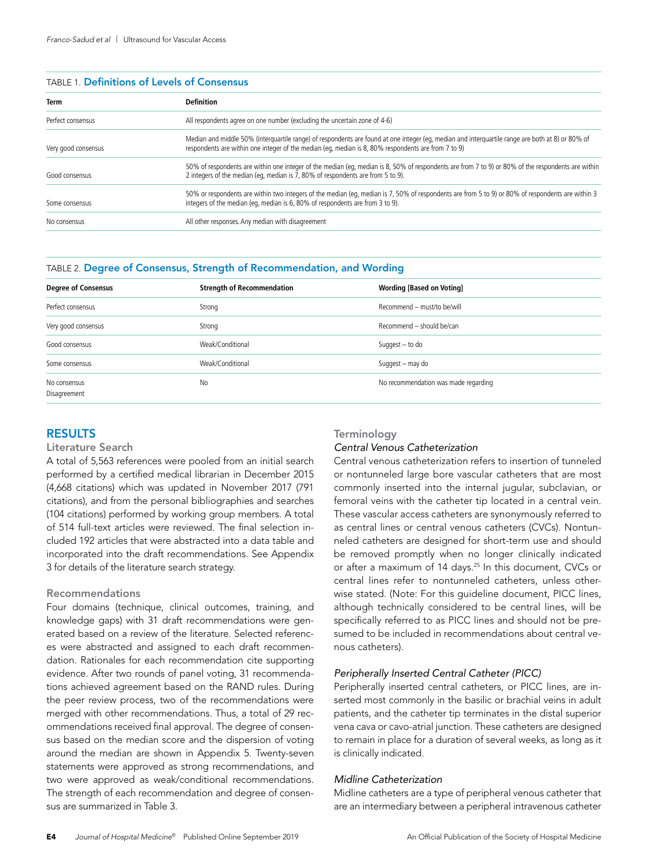#### TABLE 1. Definitions of Levels of Consensus

| Term                | <b>Definition</b>                                                                                                                                                                                                                                       |  |
|---------------------|---------------------------------------------------------------------------------------------------------------------------------------------------------------------------------------------------------------------------------------------------------|--|
| Perfect consensus   | All respondents agree on one number (excluding the uncertain zone of 4-6)                                                                                                                                                                               |  |
| Very good consensus | Median and middle 50% (interguartile range) of respondents are found at one integer (eg, median and interguartile range are both at 8) or 80% of<br>respondents are within one integer of the median (eq, median is 8, 80% respondents are from 7 to 9) |  |
| Good consensus      | 50% of respondents are within one integer of the median (eq, median is 8, 50% of respondents are from 7 to 9) or 80% of the respondents are within<br>2 integers of the median (eq, median is 7, 80% of respondents are from 5 to 9).                   |  |
| Some consensus      | 50% or respondents are within two integers of the median (eq, median is 7, 50% of respondents are from 5 to 9) or 80% of respondents are within 3<br>integers of the median (eg, median is 6, 80% of respondents are from 3 to 9).                      |  |
| No consensus        | All other responses. Any median with disagreement                                                                                                                                                                                                       |  |

#### TABLE 2. Degree of Consensus, Strength of Recommendation, and Wording

| <b>Degree of Consensus</b>   | <b>Strength of Recommendation</b> | <b>Wording [Based on Voting]</b>     |
|------------------------------|-----------------------------------|--------------------------------------|
| Perfect consensus            | Strong                            | Recommend - must/to be/will          |
| Very good consensus          | Strong                            | Recommend - should be/can            |
| Good consensus               | Weak/Conditional                  | Suggest $-$ to do                    |
| Some consensus               | Weak/Conditional                  | Suggest - may do                     |
| No consensus<br>Disagreement | <b>No</b>                         | No recommendation was made regarding |

# **RESULTS**

#### Literature Search

A total of 5,563 references were pooled from an initial search performed by a certified medical librarian in December 2015 (4,668 citations) which was updated in November 2017 (791 citations), and from the personal bibliographies and searches (104 citations) performed by working group members. A total of 514 full-text articles were reviewed. The final selection included 192 articles that were abstracted into a data table and incorporated into the draft recommendations. See Appendix 3 for details of the literature search strategy.

### Recommendations

Four domains (technique, clinical outcomes, training, and knowledge gaps) with 31 draft recommendations were generated based on a review of the literature. Selected references were abstracted and assigned to each draft recommendation. Rationales for each recommendation cite supporting evidence. After two rounds of panel voting, 31 recommendations achieved agreement based on the RAND rules. During the peer review process, two of the recommendations were merged with other recommendations. Thus, a total of 29 recommendations received final approval. The degree of consensus based on the median score and the dispersion of voting around the median are shown in Appendix 5. Twenty-seven statements were approved as strong recommendations, and two were approved as weak/conditional recommendations. The strength of each recommendation and degree of consensus are summarized in Table 3.

# **Terminology**

#### *Central Venous Catheterization*

Central venous catheterization refers to insertion of tunneled or nontunneled large bore vascular catheters that are most commonly inserted into the internal jugular, subclavian, or femoral veins with the catheter tip located in a central vein. These vascular access catheters are synonymously referred to as central lines or central venous catheters (CVCs). Nontunneled catheters are designed for short-term use and should be removed promptly when no longer clinically indicated or after a maximum of 14 days.<sup>25</sup> In this document, CVCs or central lines refer to nontunneled catheters, unless otherwise stated. (Note: For this guideline document, PICC lines, although technically considered to be central lines, will be specifically referred to as PICC lines and should not be presumed to be included in recommendations about central venous catheters).

#### *Peripherally Inserted Central Catheter (PICC)*

Peripherally inserted central catheters, or PICC lines, are inserted most commonly in the basilic or brachial veins in adult patients, and the catheter tip terminates in the distal superior vena cava or cavo-atrial junction. These catheters are designed to remain in place for a duration of several weeks, as long as it is clinically indicated.

#### *Midline Catheterization*

Midline catheters are a type of peripheral venous catheter that are an intermediary between a peripheral intravenous catheter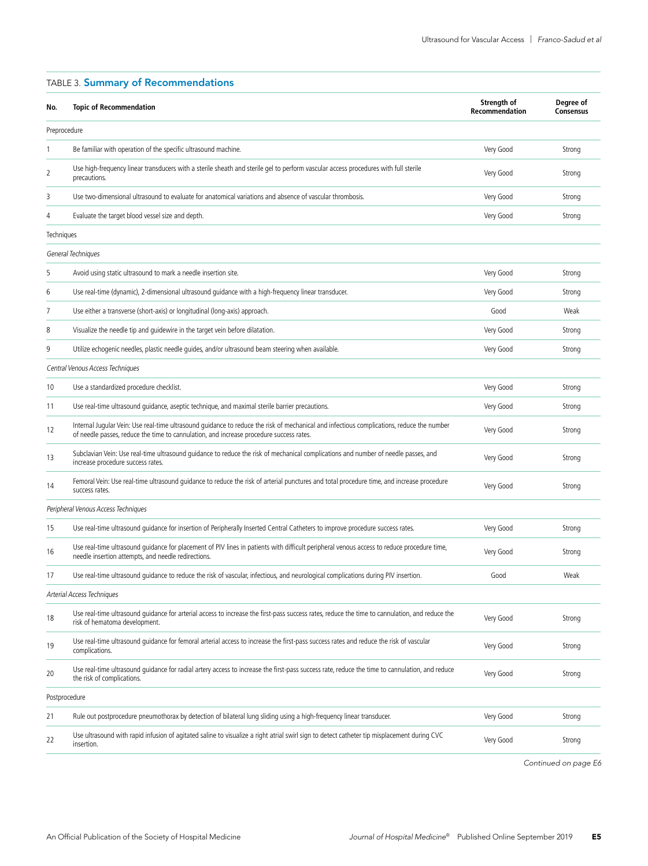| Preprocedure<br>Be familiar with operation of the specific ultrasound machine.<br>Very Good<br>1<br>Strong<br>Use high-frequency linear transducers with a sterile sheath and sterile gel to perform vascular access procedures with full sterile<br>2<br>Very Good<br>Strong<br>precautions.<br>Use two-dimensional ultrasound to evaluate for anatomical variations and absence of vascular thrombosis.<br>3<br>Very Good<br>Strong<br>Evaluate the target blood vessel size and depth.<br>Very Good<br>4<br>Strong<br>Techniques<br>General Techniques<br>Avoid using static ultrasound to mark a needle insertion site.<br>Very Good<br>5<br>Strong<br>Use real-time (dynamic), 2-dimensional ultrasound guidance with a high-frequency linear transducer.<br>Very Good<br>6<br>Strong<br>Use either a transverse (short-axis) or longitudinal (long-axis) approach.<br>Good<br>Weak<br>7<br>8<br>Visualize the needle tip and quidewire in the target vein before dilatation.<br>Very Good<br>Strong<br>9<br>Utilize echogenic needles, plastic needle quides, and/or ultrasound beam steering when available.<br>Very Good<br>Strong<br>Central Venous Access Techniques<br>Use a standardized procedure checklist.<br>Very Good<br>10<br>Strong<br>Use real-time ultrasound quidance, aseptic technique, and maximal sterile barrier precautions.<br>Very Good<br>11<br>Strong<br>Internal Jugular Vein: Use real-time ultrasound guidance to reduce the risk of mechanical and infectious complications, reduce the number<br>Very Good<br>12<br>Strong<br>of needle passes, reduce the time to cannulation, and increase procedure success rates.<br>Subclavian Vein: Use real-time ultrasound guidance to reduce the risk of mechanical complications and number of needle passes, and<br>Very Good<br>13<br>Strong<br>increase procedure success rates.<br>Femoral Vein: Use real-time ultrasound guidance to reduce the risk of arterial punctures and total procedure time, and increase procedure<br>Very Good<br>14<br>Strong<br>success rates.<br>Peripheral Venous Access Techniques<br>Use real-time ultrasound quidance for insertion of Peripherally Inserted Central Catheters to improve procedure success rates.<br>15<br>Very Good<br>Strong<br>Use real-time ultrasound quidance for placement of PIV lines in patients with difficult peripheral venous access to reduce procedure time,<br>16<br>Very Good<br>Strong<br>needle insertion attempts, and needle redirections.<br>Use real-time ultrasound quidance to reduce the risk of vascular, infectious, and neurological complications during PIV insertion.<br>Good<br>Weak<br>17<br>Arterial Access Techniques<br>Use real-time ultrasound guidance for arterial access to increase the first-pass success rates, reduce the time to cannulation, and reduce the<br>18<br>Very Good<br>Strong<br>risk of hematoma development.<br>Use real-time ultrasound guidance for femoral arterial access to increase the first-pass success rates and reduce the risk of vascular<br>19<br>Very Good<br>Strong<br>complications.<br>Use real-time ultrasound quidance for radial artery access to increase the first-pass success rate, reduce the time to cannulation, and reduce<br>Very Good<br>20<br>Strong<br>the risk of complications.<br>Postprocedure<br>Rule out postprocedure pneumothorax by detection of bilateral lung sliding using a high-frequency linear transducer.<br>Very Good<br>21<br>Strong<br>Use ultrasound with rapid infusion of agitated saline to visualize a right atrial swirl sign to detect catheter tip misplacement during CVC<br>Very Good<br>Strong<br>22<br>insertion. | No. | <b>Topic of Recommendation</b> | Strength of<br>Recommendation | Degree of<br><b>Consensus</b> |  |  |  |
|----------------------------------------------------------------------------------------------------------------------------------------------------------------------------------------------------------------------------------------------------------------------------------------------------------------------------------------------------------------------------------------------------------------------------------------------------------------------------------------------------------------------------------------------------------------------------------------------------------------------------------------------------------------------------------------------------------------------------------------------------------------------------------------------------------------------------------------------------------------------------------------------------------------------------------------------------------------------------------------------------------------------------------------------------------------------------------------------------------------------------------------------------------------------------------------------------------------------------------------------------------------------------------------------------------------------------------------------------------------------------------------------------------------------------------------------------------------------------------------------------------------------------------------------------------------------------------------------------------------------------------------------------------------------------------------------------------------------------------------------------------------------------------------------------------------------------------------------------------------------------------------------------------------------------------------------------------------------------------------------------------------------------------------------------------------------------------------------------------------------------------------------------------------------------------------------------------------------------------------------------------------------------------------------------------------------------------------------------------------------------------------------------------------------------------------------------------------------------------------------------------------------------------------------------------------------------------------------------------------------------------------------------------------------------------------------------------------------------------------------------------------------------------------------------------------------------------------------------------------------------------------------------------------------------------------------------------------------------------------------------------------------------------------------------------------------------------------------------------------------------------------------------------------------------------------------------------------------------------------------------------------------------------------------------------------------------------------------------------------------------------------------------------------------------------------------------------------------------------------------------------------------------------------------------------------------------------------------------------------------------------------------------------------------------------------|-----|--------------------------------|-------------------------------|-------------------------------|--|--|--|
|                                                                                                                                                                                                                                                                                                                                                                                                                                                                                                                                                                                                                                                                                                                                                                                                                                                                                                                                                                                                                                                                                                                                                                                                                                                                                                                                                                                                                                                                                                                                                                                                                                                                                                                                                                                                                                                                                                                                                                                                                                                                                                                                                                                                                                                                                                                                                                                                                                                                                                                                                                                                                                                                                                                                                                                                                                                                                                                                                                                                                                                                                                                                                                                                                                                                                                                                                                                                                                                                                                                                                                                                                                                                                        |     |                                |                               |                               |  |  |  |
|                                                                                                                                                                                                                                                                                                                                                                                                                                                                                                                                                                                                                                                                                                                                                                                                                                                                                                                                                                                                                                                                                                                                                                                                                                                                                                                                                                                                                                                                                                                                                                                                                                                                                                                                                                                                                                                                                                                                                                                                                                                                                                                                                                                                                                                                                                                                                                                                                                                                                                                                                                                                                                                                                                                                                                                                                                                                                                                                                                                                                                                                                                                                                                                                                                                                                                                                                                                                                                                                                                                                                                                                                                                                                        |     |                                |                               |                               |  |  |  |
|                                                                                                                                                                                                                                                                                                                                                                                                                                                                                                                                                                                                                                                                                                                                                                                                                                                                                                                                                                                                                                                                                                                                                                                                                                                                                                                                                                                                                                                                                                                                                                                                                                                                                                                                                                                                                                                                                                                                                                                                                                                                                                                                                                                                                                                                                                                                                                                                                                                                                                                                                                                                                                                                                                                                                                                                                                                                                                                                                                                                                                                                                                                                                                                                                                                                                                                                                                                                                                                                                                                                                                                                                                                                                        |     |                                |                               |                               |  |  |  |
|                                                                                                                                                                                                                                                                                                                                                                                                                                                                                                                                                                                                                                                                                                                                                                                                                                                                                                                                                                                                                                                                                                                                                                                                                                                                                                                                                                                                                                                                                                                                                                                                                                                                                                                                                                                                                                                                                                                                                                                                                                                                                                                                                                                                                                                                                                                                                                                                                                                                                                                                                                                                                                                                                                                                                                                                                                                                                                                                                                                                                                                                                                                                                                                                                                                                                                                                                                                                                                                                                                                                                                                                                                                                                        |     |                                |                               |                               |  |  |  |
|                                                                                                                                                                                                                                                                                                                                                                                                                                                                                                                                                                                                                                                                                                                                                                                                                                                                                                                                                                                                                                                                                                                                                                                                                                                                                                                                                                                                                                                                                                                                                                                                                                                                                                                                                                                                                                                                                                                                                                                                                                                                                                                                                                                                                                                                                                                                                                                                                                                                                                                                                                                                                                                                                                                                                                                                                                                                                                                                                                                                                                                                                                                                                                                                                                                                                                                                                                                                                                                                                                                                                                                                                                                                                        |     |                                |                               |                               |  |  |  |
|                                                                                                                                                                                                                                                                                                                                                                                                                                                                                                                                                                                                                                                                                                                                                                                                                                                                                                                                                                                                                                                                                                                                                                                                                                                                                                                                                                                                                                                                                                                                                                                                                                                                                                                                                                                                                                                                                                                                                                                                                                                                                                                                                                                                                                                                                                                                                                                                                                                                                                                                                                                                                                                                                                                                                                                                                                                                                                                                                                                                                                                                                                                                                                                                                                                                                                                                                                                                                                                                                                                                                                                                                                                                                        |     |                                |                               |                               |  |  |  |
|                                                                                                                                                                                                                                                                                                                                                                                                                                                                                                                                                                                                                                                                                                                                                                                                                                                                                                                                                                                                                                                                                                                                                                                                                                                                                                                                                                                                                                                                                                                                                                                                                                                                                                                                                                                                                                                                                                                                                                                                                                                                                                                                                                                                                                                                                                                                                                                                                                                                                                                                                                                                                                                                                                                                                                                                                                                                                                                                                                                                                                                                                                                                                                                                                                                                                                                                                                                                                                                                                                                                                                                                                                                                                        |     |                                |                               |                               |  |  |  |
|                                                                                                                                                                                                                                                                                                                                                                                                                                                                                                                                                                                                                                                                                                                                                                                                                                                                                                                                                                                                                                                                                                                                                                                                                                                                                                                                                                                                                                                                                                                                                                                                                                                                                                                                                                                                                                                                                                                                                                                                                                                                                                                                                                                                                                                                                                                                                                                                                                                                                                                                                                                                                                                                                                                                                                                                                                                                                                                                                                                                                                                                                                                                                                                                                                                                                                                                                                                                                                                                                                                                                                                                                                                                                        |     |                                |                               |                               |  |  |  |
|                                                                                                                                                                                                                                                                                                                                                                                                                                                                                                                                                                                                                                                                                                                                                                                                                                                                                                                                                                                                                                                                                                                                                                                                                                                                                                                                                                                                                                                                                                                                                                                                                                                                                                                                                                                                                                                                                                                                                                                                                                                                                                                                                                                                                                                                                                                                                                                                                                                                                                                                                                                                                                                                                                                                                                                                                                                                                                                                                                                                                                                                                                                                                                                                                                                                                                                                                                                                                                                                                                                                                                                                                                                                                        |     |                                |                               |                               |  |  |  |
|                                                                                                                                                                                                                                                                                                                                                                                                                                                                                                                                                                                                                                                                                                                                                                                                                                                                                                                                                                                                                                                                                                                                                                                                                                                                                                                                                                                                                                                                                                                                                                                                                                                                                                                                                                                                                                                                                                                                                                                                                                                                                                                                                                                                                                                                                                                                                                                                                                                                                                                                                                                                                                                                                                                                                                                                                                                                                                                                                                                                                                                                                                                                                                                                                                                                                                                                                                                                                                                                                                                                                                                                                                                                                        |     |                                |                               |                               |  |  |  |
|                                                                                                                                                                                                                                                                                                                                                                                                                                                                                                                                                                                                                                                                                                                                                                                                                                                                                                                                                                                                                                                                                                                                                                                                                                                                                                                                                                                                                                                                                                                                                                                                                                                                                                                                                                                                                                                                                                                                                                                                                                                                                                                                                                                                                                                                                                                                                                                                                                                                                                                                                                                                                                                                                                                                                                                                                                                                                                                                                                                                                                                                                                                                                                                                                                                                                                                                                                                                                                                                                                                                                                                                                                                                                        |     |                                |                               |                               |  |  |  |
|                                                                                                                                                                                                                                                                                                                                                                                                                                                                                                                                                                                                                                                                                                                                                                                                                                                                                                                                                                                                                                                                                                                                                                                                                                                                                                                                                                                                                                                                                                                                                                                                                                                                                                                                                                                                                                                                                                                                                                                                                                                                                                                                                                                                                                                                                                                                                                                                                                                                                                                                                                                                                                                                                                                                                                                                                                                                                                                                                                                                                                                                                                                                                                                                                                                                                                                                                                                                                                                                                                                                                                                                                                                                                        |     |                                |                               |                               |  |  |  |
|                                                                                                                                                                                                                                                                                                                                                                                                                                                                                                                                                                                                                                                                                                                                                                                                                                                                                                                                                                                                                                                                                                                                                                                                                                                                                                                                                                                                                                                                                                                                                                                                                                                                                                                                                                                                                                                                                                                                                                                                                                                                                                                                                                                                                                                                                                                                                                                                                                                                                                                                                                                                                                                                                                                                                                                                                                                                                                                                                                                                                                                                                                                                                                                                                                                                                                                                                                                                                                                                                                                                                                                                                                                                                        |     |                                |                               |                               |  |  |  |
|                                                                                                                                                                                                                                                                                                                                                                                                                                                                                                                                                                                                                                                                                                                                                                                                                                                                                                                                                                                                                                                                                                                                                                                                                                                                                                                                                                                                                                                                                                                                                                                                                                                                                                                                                                                                                                                                                                                                                                                                                                                                                                                                                                                                                                                                                                                                                                                                                                                                                                                                                                                                                                                                                                                                                                                                                                                                                                                                                                                                                                                                                                                                                                                                                                                                                                                                                                                                                                                                                                                                                                                                                                                                                        |     |                                |                               |                               |  |  |  |
|                                                                                                                                                                                                                                                                                                                                                                                                                                                                                                                                                                                                                                                                                                                                                                                                                                                                                                                                                                                                                                                                                                                                                                                                                                                                                                                                                                                                                                                                                                                                                                                                                                                                                                                                                                                                                                                                                                                                                                                                                                                                                                                                                                                                                                                                                                                                                                                                                                                                                                                                                                                                                                                                                                                                                                                                                                                                                                                                                                                                                                                                                                                                                                                                                                                                                                                                                                                                                                                                                                                                                                                                                                                                                        |     |                                |                               |                               |  |  |  |
|                                                                                                                                                                                                                                                                                                                                                                                                                                                                                                                                                                                                                                                                                                                                                                                                                                                                                                                                                                                                                                                                                                                                                                                                                                                                                                                                                                                                                                                                                                                                                                                                                                                                                                                                                                                                                                                                                                                                                                                                                                                                                                                                                                                                                                                                                                                                                                                                                                                                                                                                                                                                                                                                                                                                                                                                                                                                                                                                                                                                                                                                                                                                                                                                                                                                                                                                                                                                                                                                                                                                                                                                                                                                                        |     |                                |                               |                               |  |  |  |
|                                                                                                                                                                                                                                                                                                                                                                                                                                                                                                                                                                                                                                                                                                                                                                                                                                                                                                                                                                                                                                                                                                                                                                                                                                                                                                                                                                                                                                                                                                                                                                                                                                                                                                                                                                                                                                                                                                                                                                                                                                                                                                                                                                                                                                                                                                                                                                                                                                                                                                                                                                                                                                                                                                                                                                                                                                                                                                                                                                                                                                                                                                                                                                                                                                                                                                                                                                                                                                                                                                                                                                                                                                                                                        |     |                                |                               |                               |  |  |  |
|                                                                                                                                                                                                                                                                                                                                                                                                                                                                                                                                                                                                                                                                                                                                                                                                                                                                                                                                                                                                                                                                                                                                                                                                                                                                                                                                                                                                                                                                                                                                                                                                                                                                                                                                                                                                                                                                                                                                                                                                                                                                                                                                                                                                                                                                                                                                                                                                                                                                                                                                                                                                                                                                                                                                                                                                                                                                                                                                                                                                                                                                                                                                                                                                                                                                                                                                                                                                                                                                                                                                                                                                                                                                                        |     |                                |                               |                               |  |  |  |
|                                                                                                                                                                                                                                                                                                                                                                                                                                                                                                                                                                                                                                                                                                                                                                                                                                                                                                                                                                                                                                                                                                                                                                                                                                                                                                                                                                                                                                                                                                                                                                                                                                                                                                                                                                                                                                                                                                                                                                                                                                                                                                                                                                                                                                                                                                                                                                                                                                                                                                                                                                                                                                                                                                                                                                                                                                                                                                                                                                                                                                                                                                                                                                                                                                                                                                                                                                                                                                                                                                                                                                                                                                                                                        |     |                                |                               |                               |  |  |  |
|                                                                                                                                                                                                                                                                                                                                                                                                                                                                                                                                                                                                                                                                                                                                                                                                                                                                                                                                                                                                                                                                                                                                                                                                                                                                                                                                                                                                                                                                                                                                                                                                                                                                                                                                                                                                                                                                                                                                                                                                                                                                                                                                                                                                                                                                                                                                                                                                                                                                                                                                                                                                                                                                                                                                                                                                                                                                                                                                                                                                                                                                                                                                                                                                                                                                                                                                                                                                                                                                                                                                                                                                                                                                                        |     |                                |                               |                               |  |  |  |
|                                                                                                                                                                                                                                                                                                                                                                                                                                                                                                                                                                                                                                                                                                                                                                                                                                                                                                                                                                                                                                                                                                                                                                                                                                                                                                                                                                                                                                                                                                                                                                                                                                                                                                                                                                                                                                                                                                                                                                                                                                                                                                                                                                                                                                                                                                                                                                                                                                                                                                                                                                                                                                                                                                                                                                                                                                                                                                                                                                                                                                                                                                                                                                                                                                                                                                                                                                                                                                                                                                                                                                                                                                                                                        |     |                                |                               |                               |  |  |  |
|                                                                                                                                                                                                                                                                                                                                                                                                                                                                                                                                                                                                                                                                                                                                                                                                                                                                                                                                                                                                                                                                                                                                                                                                                                                                                                                                                                                                                                                                                                                                                                                                                                                                                                                                                                                                                                                                                                                                                                                                                                                                                                                                                                                                                                                                                                                                                                                                                                                                                                                                                                                                                                                                                                                                                                                                                                                                                                                                                                                                                                                                                                                                                                                                                                                                                                                                                                                                                                                                                                                                                                                                                                                                                        |     |                                |                               |                               |  |  |  |
|                                                                                                                                                                                                                                                                                                                                                                                                                                                                                                                                                                                                                                                                                                                                                                                                                                                                                                                                                                                                                                                                                                                                                                                                                                                                                                                                                                                                                                                                                                                                                                                                                                                                                                                                                                                                                                                                                                                                                                                                                                                                                                                                                                                                                                                                                                                                                                                                                                                                                                                                                                                                                                                                                                                                                                                                                                                                                                                                                                                                                                                                                                                                                                                                                                                                                                                                                                                                                                                                                                                                                                                                                                                                                        |     |                                |                               |                               |  |  |  |
|                                                                                                                                                                                                                                                                                                                                                                                                                                                                                                                                                                                                                                                                                                                                                                                                                                                                                                                                                                                                                                                                                                                                                                                                                                                                                                                                                                                                                                                                                                                                                                                                                                                                                                                                                                                                                                                                                                                                                                                                                                                                                                                                                                                                                                                                                                                                                                                                                                                                                                                                                                                                                                                                                                                                                                                                                                                                                                                                                                                                                                                                                                                                                                                                                                                                                                                                                                                                                                                                                                                                                                                                                                                                                        |     |                                |                               |                               |  |  |  |
|                                                                                                                                                                                                                                                                                                                                                                                                                                                                                                                                                                                                                                                                                                                                                                                                                                                                                                                                                                                                                                                                                                                                                                                                                                                                                                                                                                                                                                                                                                                                                                                                                                                                                                                                                                                                                                                                                                                                                                                                                                                                                                                                                                                                                                                                                                                                                                                                                                                                                                                                                                                                                                                                                                                                                                                                                                                                                                                                                                                                                                                                                                                                                                                                                                                                                                                                                                                                                                                                                                                                                                                                                                                                                        |     |                                |                               |                               |  |  |  |
|                                                                                                                                                                                                                                                                                                                                                                                                                                                                                                                                                                                                                                                                                                                                                                                                                                                                                                                                                                                                                                                                                                                                                                                                                                                                                                                                                                                                                                                                                                                                                                                                                                                                                                                                                                                                                                                                                                                                                                                                                                                                                                                                                                                                                                                                                                                                                                                                                                                                                                                                                                                                                                                                                                                                                                                                                                                                                                                                                                                                                                                                                                                                                                                                                                                                                                                                                                                                                                                                                                                                                                                                                                                                                        |     |                                |                               |                               |  |  |  |
|                                                                                                                                                                                                                                                                                                                                                                                                                                                                                                                                                                                                                                                                                                                                                                                                                                                                                                                                                                                                                                                                                                                                                                                                                                                                                                                                                                                                                                                                                                                                                                                                                                                                                                                                                                                                                                                                                                                                                                                                                                                                                                                                                                                                                                                                                                                                                                                                                                                                                                                                                                                                                                                                                                                                                                                                                                                                                                                                                                                                                                                                                                                                                                                                                                                                                                                                                                                                                                                                                                                                                                                                                                                                                        |     |                                |                               |                               |  |  |  |
|                                                                                                                                                                                                                                                                                                                                                                                                                                                                                                                                                                                                                                                                                                                                                                                                                                                                                                                                                                                                                                                                                                                                                                                                                                                                                                                                                                                                                                                                                                                                                                                                                                                                                                                                                                                                                                                                                                                                                                                                                                                                                                                                                                                                                                                                                                                                                                                                                                                                                                                                                                                                                                                                                                                                                                                                                                                                                                                                                                                                                                                                                                                                                                                                                                                                                                                                                                                                                                                                                                                                                                                                                                                                                        |     |                                |                               |                               |  |  |  |
|                                                                                                                                                                                                                                                                                                                                                                                                                                                                                                                                                                                                                                                                                                                                                                                                                                                                                                                                                                                                                                                                                                                                                                                                                                                                                                                                                                                                                                                                                                                                                                                                                                                                                                                                                                                                                                                                                                                                                                                                                                                                                                                                                                                                                                                                                                                                                                                                                                                                                                                                                                                                                                                                                                                                                                                                                                                                                                                                                                                                                                                                                                                                                                                                                                                                                                                                                                                                                                                                                                                                                                                                                                                                                        |     |                                |                               |                               |  |  |  |

### TABLE 3. Summary of Recommendations

*Continued on page E6*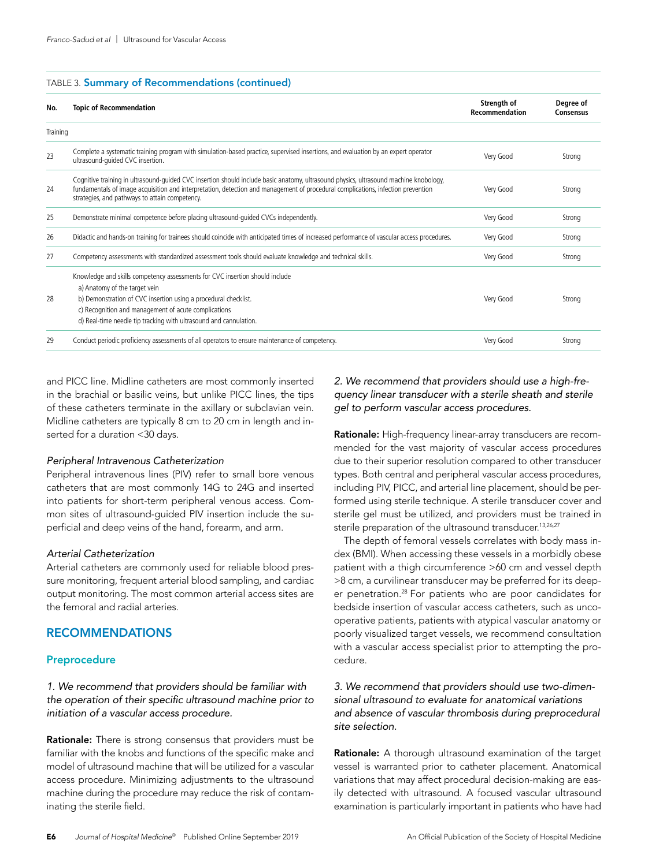#### TABLE 3. Summary of Recommendations (continued)

| No.      | <b>Topic of Recommendation</b>                                                                                                                                                                                                                                                                                              | Strength of<br>Recommendation | Degree of<br><b>Consensus</b> |
|----------|-----------------------------------------------------------------------------------------------------------------------------------------------------------------------------------------------------------------------------------------------------------------------------------------------------------------------------|-------------------------------|-------------------------------|
| Training |                                                                                                                                                                                                                                                                                                                             |                               |                               |
| 23       | Complete a systematic training program with simulation-based practice, supervised insertions, and evaluation by an expert operator<br>ultrasound-quided CVC insertion.                                                                                                                                                      | Very Good                     | Strong                        |
| 24       | Cognitive training in ultrasound-quided CVC insertion should include basic anatomy, ultrasound physics, ultrasound machine knobology,<br>fundamentals of image acquisition and interpretation, detection and management of procedural complications, infection prevention<br>strategies, and pathways to attain competency. | Very Good                     | Strong                        |
| 25       | Demonstrate minimal competence before placing ultrasound-quided CVCs independently.                                                                                                                                                                                                                                         | Very Good                     | Strong                        |
| 26       | Didactic and hands-on training for trainees should coincide with anticipated times of increased performance of vascular access procedures.                                                                                                                                                                                  | Very Good                     | Strong                        |
| 27       | Competency assessments with standardized assessment tools should evaluate knowledge and technical skills.                                                                                                                                                                                                                   | Very Good                     | Strong                        |
| 28       | Knowledge and skills competency assessments for CVC insertion should include<br>a) Anatomy of the target vein<br>b) Demonstration of CVC insertion using a procedural checklist.                                                                                                                                            | Very Good                     | Strona                        |
|          | c) Recognition and management of acute complications<br>d) Real-time needle tip tracking with ultrasound and cannulation.                                                                                                                                                                                                   |                               |                               |
| 29       | Conduct periodic proficiency assessments of all operators to ensure maintenance of competency.                                                                                                                                                                                                                              | Very Good                     | Strong                        |

and PICC line. Midline catheters are most commonly inserted in the brachial or basilic veins, but unlike PICC lines, the tips of these catheters terminate in the axillary or subclavian vein. Midline catheters are typically 8 cm to 20 cm in length and inserted for a duration <30 days.

#### *Peripheral Intravenous Catheterization*

Peripheral intravenous lines (PIV) refer to small bore venous catheters that are most commonly 14G to 24G and inserted into patients for short-term peripheral venous access. Common sites of ultrasound-guided PIV insertion include the superficial and deep veins of the hand, forearm, and arm.

#### *Arterial Catheterization*

Arterial catheters are commonly used for reliable blood pressure monitoring, frequent arterial blood sampling, and cardiac output monitoring. The most common arterial access sites are the femoral and radial arteries.

# RECOMMENDATIONS

#### Preprocedure

*1. We recommend that providers should be familiar with the operation of their specific ultrasound machine prior to initiation of a vascular access procedure.*

Rationale: There is strong consensus that providers must be familiar with the knobs and functions of the specific make and model of ultrasound machine that will be utilized for a vascular access procedure. Minimizing adjustments to the ultrasound machine during the procedure may reduce the risk of contaminating the sterile field.

# *2. We recommend that providers should use a high-frequency linear transducer with a sterile sheath and sterile gel to perform vascular access procedures.*

Rationale: High-frequency linear-array transducers are recommended for the vast majority of vascular access procedures due to their superior resolution compared to other transducer types. Both central and peripheral vascular access procedures, including PIV, PICC, and arterial line placement, should be performed using sterile technique. A sterile transducer cover and sterile gel must be utilized, and providers must be trained in sterile preparation of the ultrasound transducer.<sup>13,26,27</sup>

The depth of femoral vessels correlates with body mass index (BMI). When accessing these vessels in a morbidly obese patient with a thigh circumference >60 cm and vessel depth >8 cm, a curvilinear transducer may be preferred for its deeper penetration.28 For patients who are poor candidates for bedside insertion of vascular access catheters, such as uncooperative patients, patients with atypical vascular anatomy or poorly visualized target vessels, we recommend consultation with a vascular access specialist prior to attempting the procedure.

# *3. We recommend that providers should use two-dimensional ultrasound to evaluate for anatomical variations and absence of vascular thrombosis during preprocedural site selection.*

Rationale: A thorough ultrasound examination of the target vessel is warranted prior to catheter placement. Anatomical variations that may affect procedural decision-making are easily detected with ultrasound. A focused vascular ultrasound examination is particularly important in patients who have had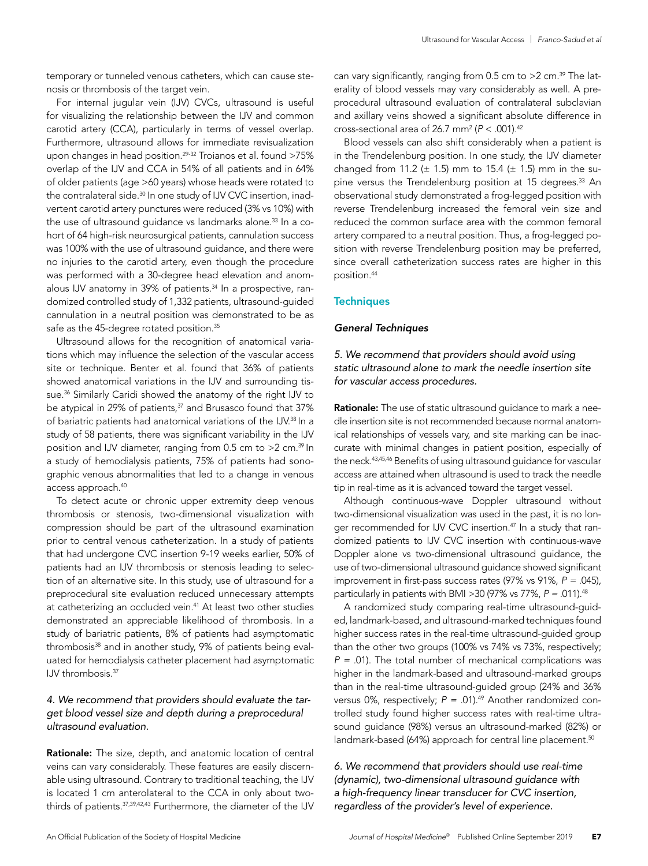temporary or tunneled venous catheters, which can cause stenosis or thrombosis of the target vein.

For internal jugular vein (IJV) CVCs, ultrasound is useful for visualizing the relationship between the IJV and common carotid artery (CCA), particularly in terms of vessel overlap. Furthermore, ultrasound allows for immediate revisualization upon changes in head position.<sup>29-32</sup> Troianos et al. found >75% overlap of the IJV and CCA in 54% of all patients and in 64% of older patients (age >60 years) whose heads were rotated to the contralateral side.<sup>30</sup> In one study of IJV CVC insertion, inadvertent carotid artery punctures were reduced (3% vs 10%) with the use of ultrasound guidance vs landmarks alone.<sup>33</sup> In a cohort of 64 high-risk neurosurgical patients, cannulation success was 100% with the use of ultrasound guidance, and there were no injuries to the carotid artery, even though the procedure was performed with a 30-degree head elevation and anomalous IJV anatomy in 39% of patients.<sup>34</sup> In a prospective, randomized controlled study of 1,332 patients, ultrasound-guided cannulation in a neutral position was demonstrated to be as safe as the 45-degree rotated position.<sup>35</sup>

Ultrasound allows for the recognition of anatomical variations which may influence the selection of the vascular access site or technique. Benter et al. found that 36% of patients showed anatomical variations in the IJV and surrounding tissue.<sup>36</sup> Similarly Caridi showed the anatomy of the right IJV to be atypical in 29% of patients,<sup>37</sup> and Brusasco found that 37% of bariatric patients had anatomical variations of the IJV.<sup>38</sup> In a study of 58 patients, there was significant variability in the IJV position and IJV diameter, ranging from 0.5 cm to >2 cm.39 In a study of hemodialysis patients, 75% of patients had sonographic venous abnormalities that led to a change in venous access approach.40

To detect acute or chronic upper extremity deep venous thrombosis or stenosis, two-dimensional visualization with compression should be part of the ultrasound examination prior to central venous catheterization. In a study of patients that had undergone CVC insertion 9-19 weeks earlier, 50% of patients had an IJV thrombosis or stenosis leading to selection of an alternative site. In this study, use of ultrasound for a preprocedural site evaluation reduced unnecessary attempts at catheterizing an occluded vein.<sup>41</sup> At least two other studies demonstrated an appreciable likelihood of thrombosis. In a study of bariatric patients, 8% of patients had asymptomatic thrombosis<sup>38</sup> and in another study, 9% of patients being evaluated for hemodialysis catheter placement had asymptomatic IJV thrombosis.<sup>37</sup>

# *4. We recommend that providers should evaluate the target blood vessel size and depth during a preprocedural ultrasound evaluation.*

Rationale: The size, depth, and anatomic location of central veins can vary considerably. These features are easily discernable using ultrasound. Contrary to traditional teaching, the IJV is located 1 cm anterolateral to the CCA in only about twothirds of patients. 37,39,42,43 Furthermore, the diameter of the IJV

can vary significantly, ranging from  $0.5$  cm to  $>2$  cm.<sup>39</sup> The laterality of blood vessels may vary considerably as well. A preprocedural ultrasound evaluation of contralateral subclavian and axillary veins showed a significant absolute difference in cross-sectional area of 26.7 mm2 (*P* < .001).42

Blood vessels can also shift considerably when a patient is in the Trendelenburg position. In one study, the IJV diameter changed from 11.2 ( $\pm$  1.5) mm to 15.4 ( $\pm$  1.5) mm in the supine versus the Trendelenburg position at 15 degrees.<sup>33</sup> An observational study demonstrated a frog-legged position with reverse Trendelenburg increased the femoral vein size and reduced the common surface area with the common femoral artery compared to a neutral position. Thus, a frog-legged position with reverse Trendelenburg position may be preferred, since overall catheterization success rates are higher in this position.44

#### **Techniques**

#### *General Techniques*

*5. We recommend that providers should avoid using static ultrasound alone to mark the needle insertion site for vascular access procedures.*

Rationale: The use of static ultrasound guidance to mark a needle insertion site is not recommended because normal anatomical relationships of vessels vary, and site marking can be inaccurate with minimal changes in patient position, especially of the neck.43,45,46 Benefits of using ultrasound guidance for vascular access are attained when ultrasound is used to track the needle tip in real-time as it is advanced toward the target vessel.

Although continuous-wave Doppler ultrasound without two-dimensional visualization was used in the past, it is no longer recommended for IJV CVC insertion.<sup>47</sup> In a study that randomized patients to IJV CVC insertion with continuous-wave Doppler alone vs two-dimensional ultrasound guidance, the use of two-dimensional ultrasound guidance showed significant improvement in first-pass success rates (97% vs 91%, *P = .*045), particularly in patients with BMI >30 (97% vs 77%, *P = .*011).48

A randomized study comparing real-time ultrasound-guided, landmark-based, and ultrasound-marked techniques found higher success rates in the real-time ultrasound-guided group than the other two groups (100% vs 74% vs 73%, respectively; *P = .*01). The total number of mechanical complications was higher in the landmark-based and ultrasound-marked groups than in the real-time ultrasound-guided group (24% and 36% versus 0%, respectively;  $P = .01$ ).<sup>49</sup> Another randomized controlled study found higher success rates with real-time ultrasound guidance (98%) versus an ultrasound-marked (82%) or landmark-based (64%) approach for central line placement.<sup>50</sup>

*6. We recommend that providers should use real-time (dynamic), two-dimensional ultrasound guidance with a high-frequency linear transducer for CVC insertion, regardless of the provider's level of experience.*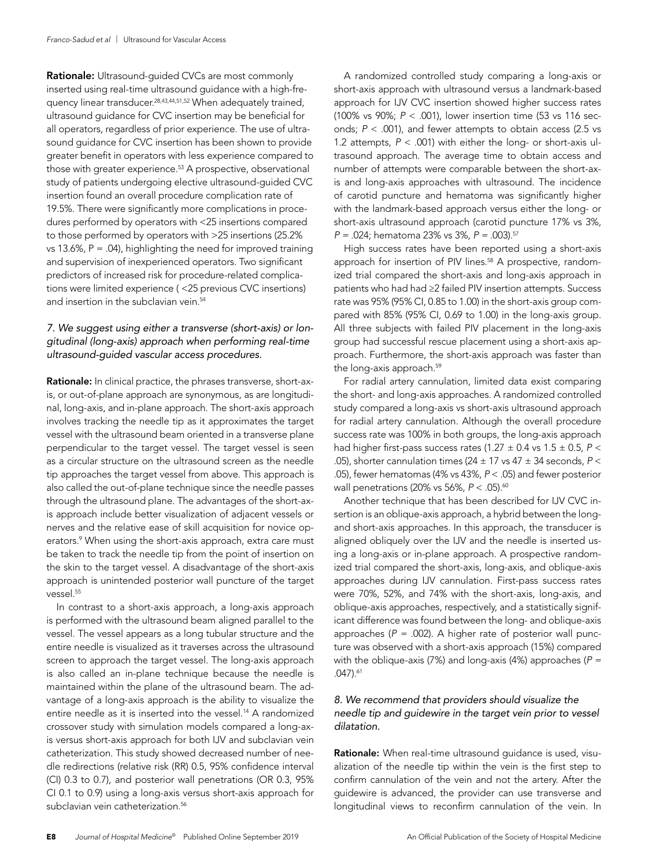Rationale: Ultrasound-guided CVCs are most commonly inserted using real-time ultrasound guidance with a high-frequency linear transducer.28,43,44,51,52 When adequately trained, ultrasound guidance for CVC insertion may be beneficial for all operators, regardless of prior experience. The use of ultrasound guidance for CVC insertion has been shown to provide greater benefit in operators with less experience compared to those with greater experience.<sup>53</sup> A prospective, observational study of patients undergoing elective ultrasound-guided CVC insertion found an overall procedure complication rate of 19.5%. There were significantly more complications in procedures performed by operators with <25 insertions compared to those performed by operators with >25 insertions (25.2% vs 13.6%,  $P = .04$ ), highlighting the need for improved training and supervision of inexperienced operators. Two significant predictors of increased risk for procedure-related complications were limited experience ( <25 previous CVC insertions) and insertion in the subclavian vein.<sup>54</sup>

# *7. We suggest using either a transverse (short-axis) or longitudinal (long-axis) approach when performing real-time ultrasound-guided vascular access procedures.*

Rationale: In clinical practice, the phrases transverse, short-axis, or out-of-plane approach are synonymous, as are longitudinal, long-axis, and in-plane approach. The short-axis approach involves tracking the needle tip as it approximates the target vessel with the ultrasound beam oriented in a transverse plane perpendicular to the target vessel. The target vessel is seen as a circular structure on the ultrasound screen as the needle tip approaches the target vessel from above. This approach is also called the out-of-plane technique since the needle passes through the ultrasound plane. The advantages of the short-axis approach include better visualization of adjacent vessels or nerves and the relative ease of skill acquisition for novice operators.<sup>9</sup> When using the short-axis approach, extra care must be taken to track the needle tip from the point of insertion on the skin to the target vessel. A disadvantage of the short-axis approach is unintended posterior wall puncture of the target vessel.<sup>55</sup>

In contrast to a short-axis approach, a long-axis approach is performed with the ultrasound beam aligned parallel to the vessel. The vessel appears as a long tubular structure and the entire needle is visualized as it traverses across the ultrasound screen to approach the target vessel. The long-axis approach is also called an in-plane technique because the needle is maintained within the plane of the ultrasound beam. The advantage of a long-axis approach is the ability to visualize the entire needle as it is inserted into the vessel.<sup>14</sup> A randomized crossover study with simulation models compared a long-axis versus short-axis approach for both IJV and subclavian vein catheterization. This study showed decreased number of needle redirections (relative risk (RR) 0.5, 95% confidence interval (CI) 0.3 to 0.7), and posterior wall penetrations (OR 0.3, 95% CI 0.1 to 0.9) using a long-axis versus short-axis approach for subclavian vein catheterization.<sup>56</sup>

A randomized controlled study comparing a long-axis or short-axis approach with ultrasound versus a landmark-based approach for IJV CVC insertion showed higher success rates (100% vs 90%; *P* < .001), lower insertion time (53 vs 116 seconds; *P* < .001), and fewer attempts to obtain access (2.5 vs 1.2 attempts, *P* < .001) with either the long- or short-axis ultrasound approach. The average time to obtain access and number of attempts were comparable between the short-axis and long-axis approaches with ultrasound. The incidence of carotid puncture and hematoma was significantly higher with the landmark-based approach versus either the long- or short-axis ultrasound approach (carotid puncture 17% vs 3%, *P = .*024; hematoma 23% vs 3%, *P = .*003).57

High success rates have been reported using a short-axis approach for insertion of PIV lines.<sup>58</sup> A prospective, randomized trial compared the short-axis and long-axis approach in patients who had had ≥2 failed PIV insertion attempts. Success rate was 95% (95% CI, 0.85 to 1.00) in the short-axis group compared with 85% (95% CI, 0.69 to 1.00) in the long-axis group. All three subjects with failed PIV placement in the long-axis group had successful rescue placement using a short-axis approach. Furthermore, the short-axis approach was faster than the long-axis approach.<sup>59</sup>

For radial artery cannulation, limited data exist comparing the short- and long-axis approaches. A randomized controlled study compared a long-axis vs short-axis ultrasound approach for radial artery cannulation. Although the overall procedure success rate was 100% in both groups, the long-axis approach had higher first-pass success rates (1.27  $\pm$  0.4 vs 1.5  $\pm$  0.5, P < .05), shorter cannulation times (24 ± 17 vs 47 ± 34 seconds, *P* < .05), fewer hematomas (4% vs 43%, *P* < .05) and fewer posterior wall penetrations (20% vs 56%,  $P < .05$ ).<sup>60</sup>

Another technique that has been described for IJV CVC insertion is an oblique-axis approach, a hybrid between the longand short-axis approaches. In this approach, the transducer is aligned obliquely over the IJV and the needle is inserted using a long-axis or in-plane approach. A prospective randomized trial compared the short-axis, long-axis, and oblique-axis approaches during IJV cannulation. First-pass success rates were 70%, 52%, and 74% with the short-axis, long-axis, and oblique-axis approaches, respectively, and a statistically significant difference was found between the long- and oblique-axis approaches (*P = .*002). A higher rate of posterior wall puncture was observed with a short-axis approach (15%) compared with the oblique-axis (7%) and long-axis (4%) approaches (*P = .*047).61

# *8. We recommend that providers should visualize the needle tip and guidewire in the target vein prior to vessel dilatation.*

Rationale: When real-time ultrasound guidance is used, visualization of the needle tip within the vein is the first step to confirm cannulation of the vein and not the artery. After the guidewire is advanced, the provider can use transverse and longitudinal views to reconfirm cannulation of the vein. In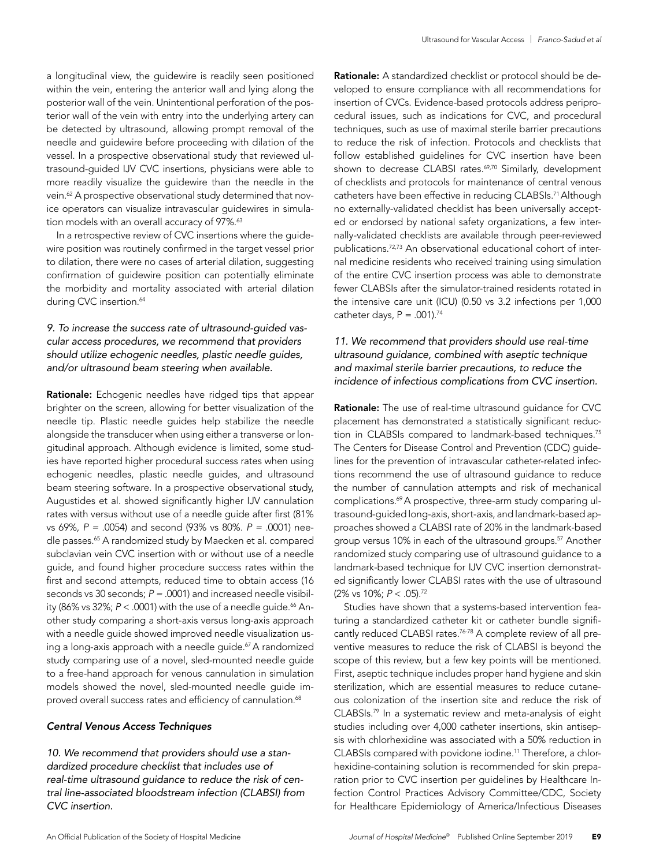a longitudinal view, the guidewire is readily seen positioned within the vein, entering the anterior wall and lying along the posterior wall of the vein. Unintentional perforation of the posterior wall of the vein with entry into the underlying artery can be detected by ultrasound, allowing prompt removal of the needle and guidewire before proceeding with dilation of the vessel. In a prospective observational study that reviewed ultrasound-guided IJV CVC insertions, physicians were able to more readily visualize the guidewire than the needle in the vein.<sup>62</sup> A prospective observational study determined that novice operators can visualize intravascular guidewires in simulation models with an overall accuracy of 97%.<sup>63</sup>

In a retrospective review of CVC insertions where the guidewire position was routinely confirmed in the target vessel prior to dilation, there were no cases of arterial dilation, suggesting confirmation of guidewire position can potentially eliminate the morbidity and mortality associated with arterial dilation during CVC insertion.<sup>64</sup>

# *9. To increase the success rate of ultrasound-guided vascular access procedures, we recommend that providers should utilize echogenic needles, plastic needle guides, and/or ultrasound beam steering when available.*

Rationale: Echogenic needles have ridged tips that appear brighter on the screen, allowing for better visualization of the needle tip. Plastic needle guides help stabilize the needle alongside the transducer when using either a transverse or longitudinal approach. Although evidence is limited, some studies have reported higher procedural success rates when using echogenic needles, plastic needle guides, and ultrasound beam steering software. In a prospective observational study, Augustides et al. showed significantly higher IJV cannulation rates with versus without use of a needle guide after first (81% vs 69%, *P = .*0054) and second (93% vs 80%. *P = .*0001) needle passes.<sup>65</sup> A randomized study by Maecken et al. compared subclavian vein CVC insertion with or without use of a needle guide, and found higher procedure success rates within the first and second attempts, reduced time to obtain access (16 seconds vs 30 seconds; *P = .*0001) and increased needle visibility (86% vs 32%;  $P < .0001$ ) with the use of a needle guide.<sup>66</sup> Another study comparing a short-axis versus long-axis approach with a needle guide showed improved needle visualization using a long-axis approach with a needle guide.<sup>67</sup> A randomized study comparing use of a novel, sled-mounted needle guide to a free-hand approach for venous cannulation in simulation models showed the novel, sled-mounted needle guide improved overall success rates and efficiency of cannulation.<sup>68</sup>

#### *Central Venous Access Techniques*

*10. We recommend that providers should use a standardized procedure checklist that includes use of real-time ultrasound guidance to reduce the risk of central line-associated bloodstream infection (CLABSI) from CVC insertion.*

Rationale: A standardized checklist or protocol should be developed to ensure compliance with all recommendations for insertion of CVCs. Evidence-based protocols address periprocedural issues, such as indications for CVC, and procedural techniques, such as use of maximal sterile barrier precautions to reduce the risk of infection. Protocols and checklists that follow established guidelines for CVC insertion have been shown to decrease CLABSI rates.<sup>69,70</sup> Similarly, development of checklists and protocols for maintenance of central venous catheters have been effective in reducing CLABSIs.<sup>71</sup> Although no externally-validated checklist has been universally accepted or endorsed by national safety organizations, a few internally-validated checklists are available through peer-reviewed publications.72,73 An observational educational cohort of internal medicine residents who received training using simulation of the entire CVC insertion process was able to demonstrate fewer CLABSIs after the simulator-trained residents rotated in the intensive care unit (ICU) (0.50 vs 3.2 infections per 1,000 catheter days,  $P = .001$ ).<sup>74</sup>

# *11. We recommend that providers should use real-time ultrasound guidance, combined with aseptic technique and maximal sterile barrier precautions, to reduce the incidence of infectious complications from CVC insertion.*

Rationale: The use of real-time ultrasound guidance for CVC placement has demonstrated a statistically significant reduction in CLABSIs compared to landmark-based techniques.<sup>75</sup> The Centers for Disease Control and Prevention (CDC) guidelines for the prevention of intravascular catheter-related infections recommend the use of ultrasound guidance to reduce the number of cannulation attempts and risk of mechanical complications.<sup>69</sup> A prospective, three-arm study comparing ultrasound-guided long-axis, short-axis, and landmark-based approaches showed a CLABSI rate of 20% in the landmark-based group versus 10% in each of the ultrasound groups.<sup>57</sup> Another randomized study comparing use of ultrasound guidance to a landmark-based technique for IJV CVC insertion demonstrated significantly lower CLABSI rates with the use of ultrasound (2% vs 10%; *P* < .05).72

Studies have shown that a systems-based intervention featuring a standardized catheter kit or catheter bundle significantly reduced CLABSI rates.<sup>76-78</sup> A complete review of all preventive measures to reduce the risk of CLABSI is beyond the scope of this review, but a few key points will be mentioned. First, aseptic technique includes proper hand hygiene and skin sterilization, which are essential measures to reduce cutaneous colonization of the insertion site and reduce the risk of CLABSIs.79 In a systematic review and meta-analysis of eight studies including over 4,000 catheter insertions, skin antisepsis with chlorhexidine was associated with a 50% reduction in CLABSIs compared with povidone iodine.11 Therefore, a chlorhexidine-containing solution is recommended for skin preparation prior to CVC insertion per guidelines by Healthcare Infection Control Practices Advisory Committee/CDC, Society for Healthcare Epidemiology of America/Infectious Diseases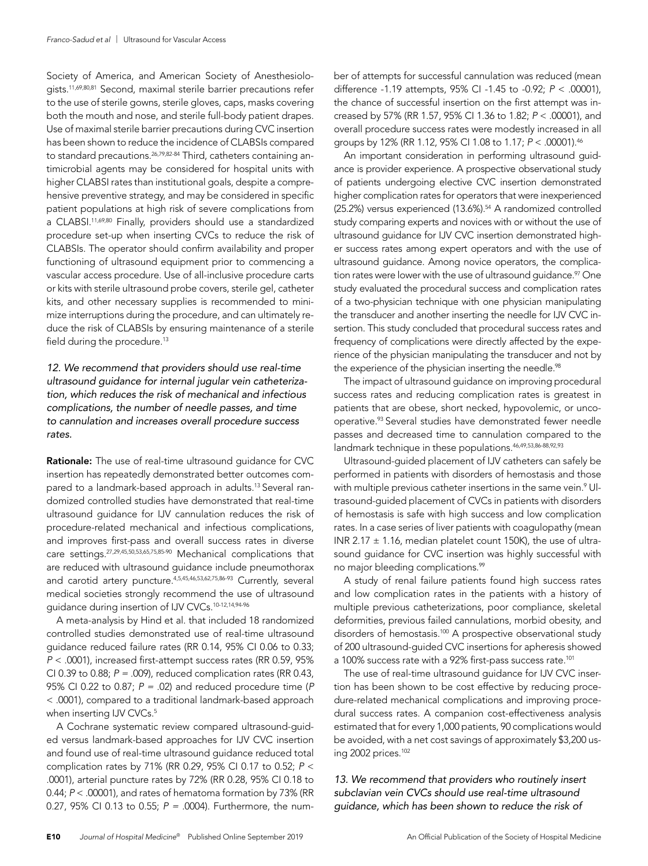Society of America, and American Society of Anesthesiologists.11,69,80,81 Second, maximal sterile barrier precautions refer to the use of sterile gowns, sterile gloves, caps, masks covering both the mouth and nose, and sterile full-body patient drapes. Use of maximal sterile barrier precautions during CVC insertion has been shown to reduce the incidence of CLABSIs compared to standard precautions.<sup>26,79,82-84</sup> Third, catheters containing antimicrobial agents may be considered for hospital units with higher CLABSI rates than institutional goals, despite a comprehensive preventive strategy, and may be considered in specific patient populations at high risk of severe complications from a CLABSI.<sup>11,69,80</sup> Finally, providers should use a standardized procedure set-up when inserting CVCs to reduce the risk of CLABSIs. The operator should confirm availability and proper functioning of ultrasound equipment prior to commencing a vascular access procedure. Use of all-inclusive procedure carts or kits with sterile ultrasound probe covers, sterile gel, catheter kits, and other necessary supplies is recommended to minimize interruptions during the procedure, and can ultimately reduce the risk of CLABSIs by ensuring maintenance of a sterile field during the procedure.<sup>13</sup>

# *12. We recommend that providers should use real-time ultrasound guidance for internal jugular vein catheterization, which reduces the risk of mechanical and infectious complications, the number of needle passes, and time to cannulation and increases overall procedure success rates.*

Rationale: The use of real-time ultrasound guidance for CVC insertion has repeatedly demonstrated better outcomes compared to a landmark-based approach in adults.<sup>13</sup> Several randomized controlled studies have demonstrated that real-time ultrasound guidance for IJV cannulation reduces the risk of procedure-related mechanical and infectious complications, and improves first-pass and overall success rates in diverse care settings.27,29,45,50,53,65,75,85-90 Mechanical complications that are reduced with ultrasound guidance include pneumothorax and carotid artery puncture.4,5,45,46,53,62,75,86-93 Currently, several medical societies strongly recommend the use of ultrasound guidance during insertion of IJV CVCs.10-12,14,94-96

A meta-analysis by Hind et al. that included 18 randomized controlled studies demonstrated use of real-time ultrasound guidance reduced failure rates (RR 0.14, 95% CI 0.06 to 0.33; *P* < .0001), increased first-attempt success rates (RR 0.59, 95% CI 0.39 to 0.88; *P = .*009), reduced complication rates (RR 0.43, 95% CI 0.22 to 0.87; *P = .*02) and reduced procedure time (*P* < .0001), compared to a traditional landmark-based approach when inserting IJV CVCs.<sup>5</sup>

A Cochrane systematic review compared ultrasound-guided versus landmark-based approaches for IJV CVC insertion and found use of real-time ultrasound guidance reduced total complication rates by 71% (RR 0.29, 95% CI 0.17 to 0.52; *P* < .0001), arterial puncture rates by 72% (RR 0.28, 95% CI 0.18 to 0.44; *P* < .00001), and rates of hematoma formation by 73% (RR 0.27, 95% CI 0.13 to 0.55; *P = .*0004). Furthermore, the number of attempts for successful cannulation was reduced (mean difference -1.19 attempts, 95% CI -1.45 to -0.92; *P* < .00001), the chance of successful insertion on the first attempt was increased by 57% (RR 1.57, 95% CI 1.36 to 1.82; *P* < .00001), and overall procedure success rates were modestly increased in all groups by 12% (RR 1.12, 95% CI 1.08 to 1.17; *P* < .00001).46

An important consideration in performing ultrasound guidance is provider experience. A prospective observational study of patients undergoing elective CVC insertion demonstrated higher complication rates for operators that were inexperienced (25.2%) versus experienced (13.6%).<sup>54</sup> A randomized controlled study comparing experts and novices with or without the use of ultrasound guidance for IJV CVC insertion demonstrated higher success rates among expert operators and with the use of ultrasound guidance. Among novice operators, the complication rates were lower with the use of ultrasound guidance.<sup>97</sup> One study evaluated the procedural success and complication rates of a two-physician technique with one physician manipulating the transducer and another inserting the needle for IJV CVC insertion. This study concluded that procedural success rates and frequency of complications were directly affected by the experience of the physician manipulating the transducer and not by the experience of the physician inserting the needle.<sup>98</sup>

The impact of ultrasound guidance on improving procedural success rates and reducing complication rates is greatest in patients that are obese, short necked, hypovolemic, or uncooperative.93 Several studies have demonstrated fewer needle passes and decreased time to cannulation compared to the landmark technique in these populations.<sup>46,49,53,86-88,92,93</sup>

Ultrasound-guided placement of IJV catheters can safely be performed in patients with disorders of hemostasis and those with multiple previous catheter insertions in the same vein.<sup>9</sup> Ultrasound-guided placement of CVCs in patients with disorders of hemostasis is safe with high success and low complication rates. In a case series of liver patients with coagulopathy (mean INR 2.17  $\pm$  1.16, median platelet count 150K), the use of ultrasound guidance for CVC insertion was highly successful with no major bleeding complications.<sup>99</sup>

A study of renal failure patients found high success rates and low complication rates in the patients with a history of multiple previous catheterizations, poor compliance, skeletal deformities, previous failed cannulations, morbid obesity, and disorders of hemostasis.<sup>100</sup> A prospective observational study of 200 ultrasound-guided CVC insertions for apheresis showed a 100% success rate with a 92% first-pass success rate.<sup>101</sup>

The use of real-time ultrasound guidance for IJV CVC insertion has been shown to be cost effective by reducing procedure-related mechanical complications and improving procedural success rates. A companion cost-effectiveness analysis estimated that for every 1,000 patients, 90 complications would be avoided, with a net cost savings of approximately \$3,200 using 2002 prices.102

*13. We recommend that providers who routinely insert subclavian vein CVCs should use real-time ultrasound guidance, which has been shown to reduce the risk of*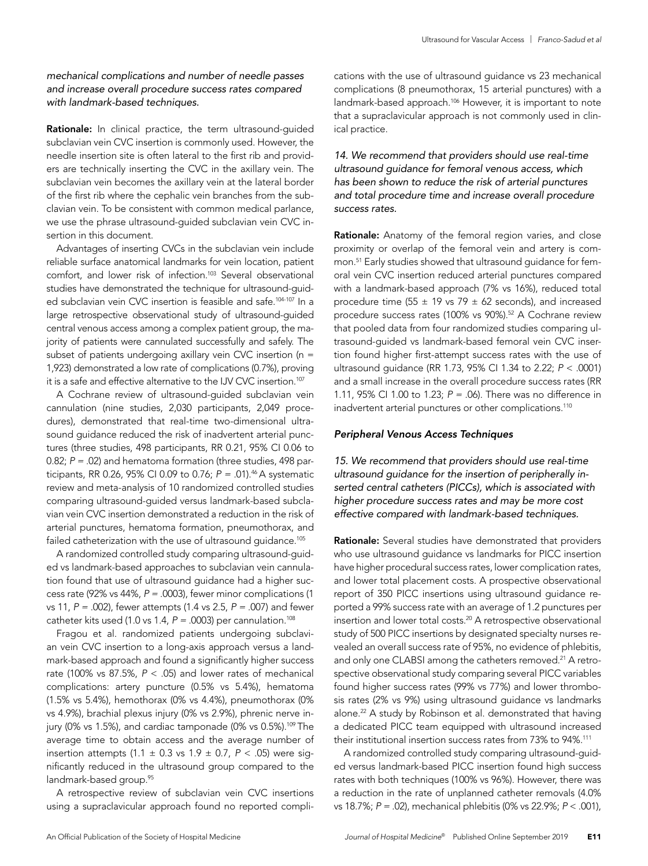# *mechanical complications and number of needle passes and increase overall procedure success rates compared with landmark-based techniques.*

Rationale: In clinical practice, the term ultrasound-quided subclavian vein CVC insertion is commonly used. However, the needle insertion site is often lateral to the first rib and providers are technically inserting the CVC in the axillary vein. The subclavian vein becomes the axillary vein at the lateral border of the first rib where the cephalic vein branches from the subclavian vein. To be consistent with common medical parlance, we use the phrase ultrasound-guided subclavian vein CVC insertion in this document.

Advantages of inserting CVCs in the subclavian vein include reliable surface anatomical landmarks for vein location, patient comfort, and lower risk of infection.103 Several observational studies have demonstrated the technique for ultrasound-guided subclavian vein CVC insertion is feasible and safe.104-107 In a large retrospective observational study of ultrasound-guided central venous access among a complex patient group, the majority of patients were cannulated successfully and safely. The subset of patients undergoing axillary vein CVC insertion (n = 1,923) demonstrated a low rate of complications (0.7%), proving it is a safe and effective alternative to the IJV CVC insertion.<sup>107</sup>

A Cochrane review of ultrasound-guided subclavian vein cannulation (nine studies, 2,030 participants, 2,049 procedures), demonstrated that real-time two-dimensional ultrasound guidance reduced the risk of inadvertent arterial punctures (three studies, 498 participants, RR 0.21, 95% CI 0.06 to 0.82; *P = .*02) and hematoma formation (three studies, 498 participants, RR 0.26, 95% CI 0.09 to 0.76; *P = .*01).46 A systematic review and meta-analysis of 10 randomized controlled studies comparing ultrasound-guided versus landmark-based subclavian vein CVC insertion demonstrated a reduction in the risk of arterial punctures, hematoma formation, pneumothorax, and failed catheterization with the use of ultrasound guidance.<sup>105</sup>

A randomized controlled study comparing ultrasound-guided vs landmark-based approaches to subclavian vein cannulation found that use of ultrasound guidance had a higher success rate (92% vs 44%, *P = .*0003), fewer minor complications (1 vs 11, *P = .*002), fewer attempts (1.4 vs 2.5, *P = .*007) and fewer catheter kits used (1.0 vs 1.4,  $P = .0003$ ) per cannulation.<sup>108</sup>

Fragou et al. randomized patients undergoing subclavian vein CVC insertion to a long-axis approach versus a landmark-based approach and found a significantly higher success rate (100% vs 87.5%, *P* < .05) and lower rates of mechanical complications: artery puncture (0.5% vs 5.4%), hematoma (1.5% vs 5.4%), hemothorax (0% vs 4.4%), pneumothorax (0% vs 4.9%), brachial plexus injury (0% vs 2.9%), phrenic nerve injury (0% vs 1.5%), and cardiac tamponade (0% vs  $0.5$ %).<sup>109</sup> The average time to obtain access and the average number of insertion attempts (1.1  $\pm$  0.3 vs 1.9  $\pm$  0.7, P < .05) were significantly reduced in the ultrasound group compared to the landmark-based group.<sup>95</sup>

A retrospective review of subclavian vein CVC insertions using a supraclavicular approach found no reported complications with the use of ultrasound guidance vs 23 mechanical complications (8 pneumothorax, 15 arterial punctures) with a landmark-based approach.<sup>106</sup> However, it is important to note that a supraclavicular approach is not commonly used in clinical practice.

*14. We recommend that providers should use real-time ultrasound guidance for femoral venous access, which has been shown to reduce the risk of arterial punctures and total procedure time and increase overall procedure success rates.*

Rationale: Anatomy of the femoral region varies, and close proximity or overlap of the femoral vein and artery is common.51 Early studies showed that ultrasound guidance for femoral vein CVC insertion reduced arterial punctures compared with a landmark-based approach (7% vs 16%), reduced total procedure time (55  $\pm$  19 vs 79  $\pm$  62 seconds), and increased procedure success rates (100% vs 90%).<sup>52</sup> A Cochrane review that pooled data from four randomized studies comparing ultrasound-guided vs landmark-based femoral vein CVC insertion found higher first-attempt success rates with the use of ultrasound guidance (RR 1.73, 95% CI 1.34 to 2.22; *P* < .0001) and a small increase in the overall procedure success rates (RR 1.11, 95% CI 1.00 to 1.23; *P = .*06). There was no difference in inadvertent arterial punctures or other complications.110

### *Peripheral Venous Access Techniques*

*15. We recommend that providers should use real-time ultrasound guidance for the insertion of peripherally inserted central catheters (PICCs), which is associated with higher procedure success rates and may be more cost effective compared with landmark-based techniques.*

Rationale: Several studies have demonstrated that providers who use ultrasound guidance vs landmarks for PICC insertion have higher procedural success rates, lower complication rates, and lower total placement costs. A prospective observational report of 350 PICC insertions using ultrasound guidance reported a 99% success rate with an average of 1.2 punctures per insertion and lower total costs.20 A retrospective observational study of 500 PICC insertions by designated specialty nurses revealed an overall success rate of 95%, no evidence of phlebitis, and only one CLABSI among the catheters removed.<sup>21</sup> A retrospective observational study comparing several PICC variables found higher success rates (99% vs 77%) and lower thrombosis rates (2% vs 9%) using ultrasound guidance vs landmarks alone.<sup>22</sup> A study by Robinson et al. demonstrated that having a dedicated PICC team equipped with ultrasound increased their institutional insertion success rates from 73% to 94%.111

A randomized controlled study comparing ultrasound-guided versus landmark-based PICC insertion found high success rates with both techniques (100% vs 96%). However, there was a reduction in the rate of unplanned catheter removals (4.0% vs 18.7%; *P = .*02), mechanical phlebitis (0% vs 22.9%; *P* < .001),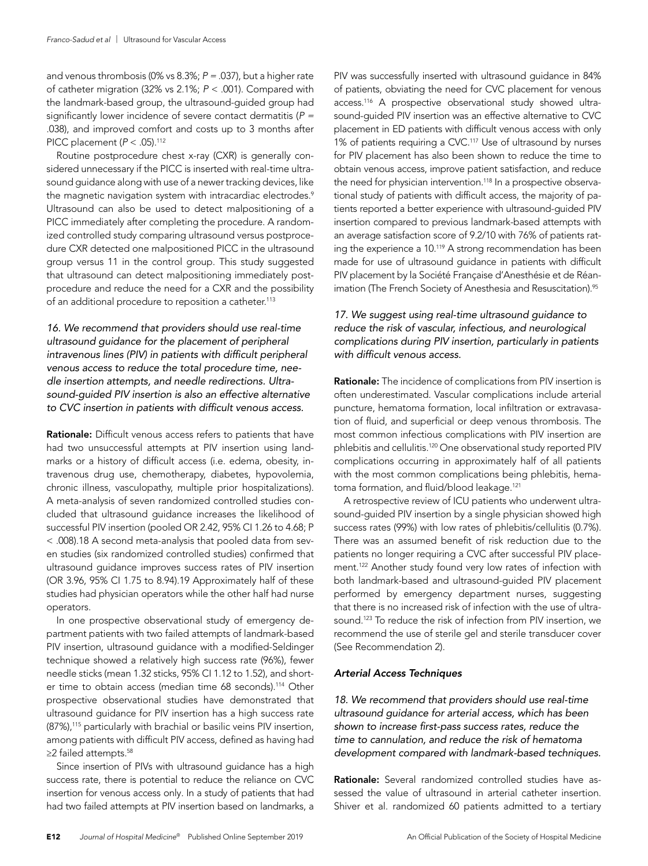and venous thrombosis (0% vs 8.3%; *P = .*037), but a higher rate of catheter migration (32% vs 2.1%; *P* < .001). Compared with the landmark-based group, the ultrasound-guided group had significantly lower incidence of severe contact dermatitis (*P = .*038), and improved comfort and costs up to 3 months after PICC placement (*P* < .05).112

Routine postprocedure chest x-ray (CXR) is generally considered unnecessary if the PICC is inserted with real-time ultrasound guidance along with use of a newer tracking devices, like the magnetic navigation system with intracardiac electrodes.<sup>9</sup> Ultrasound can also be used to detect malpositioning of a PICC immediately after completing the procedure. A randomized controlled study comparing ultrasound versus postprocedure CXR detected one malpositioned PICC in the ultrasound group versus 11 in the control group. This study suggested that ultrasound can detect malpositioning immediately postprocedure and reduce the need for a CXR and the possibility of an additional procedure to reposition a catheter.<sup>113</sup>

*16. We recommend that providers should use real-time ultrasound guidance for the placement of peripheral intravenous lines (PIV) in patients with difficult peripheral venous access to reduce the total procedure time, needle insertion attempts, and needle redirections. Ultrasound-guided PIV insertion is also an effective alternative to CVC insertion in patients with difficult venous access.*

Rationale: Difficult venous access refers to patients that have had two unsuccessful attempts at PIV insertion using landmarks or a history of difficult access (i.e. edema, obesity, intravenous drug use, chemotherapy, diabetes, hypovolemia, chronic illness, vasculopathy, multiple prior hospitalizations). A meta-analysis of seven randomized controlled studies concluded that ultrasound guidance increases the likelihood of successful PIV insertion (pooled OR 2.42, 95% CI 1.26 to 4.68; P < .008).18 A second meta-analysis that pooled data from seven studies (six randomized controlled studies) confirmed that ultrasound guidance improves success rates of PIV insertion (OR 3.96, 95% CI 1.75 to 8.94).19 Approximately half of these studies had physician operators while the other half had nurse operators.

In one prospective observational study of emergency department patients with two failed attempts of landmark-based PIV insertion, ultrasound guidance with a modified-Seldinger technique showed a relatively high success rate (96%), fewer needle sticks (mean 1.32 sticks, 95% CI 1.12 to 1.52), and shorter time to obtain access (median time 68 seconds).114 Other prospective observational studies have demonstrated that ultrasound guidance for PIV insertion has a high success rate (87%),<sup>115</sup> particularly with brachial or basilic veins PIV insertion, among patients with difficult PIV access, defined as having had ≥2 failed attempts.<sup>58</sup>

Since insertion of PIVs with ultrasound guidance has a high success rate, there is potential to reduce the reliance on CVC insertion for venous access only*.* In a study of patients that had had two failed attempts at PIV insertion based on landmarks, a PIV was successfully inserted with ultrasound guidance in 84% of patients, obviating the need for CVC placement for venous access.116 A prospective observational study showed ultrasound-guided PIV insertion was an effective alternative to CVC placement in ED patients with difficult venous access with only 1% of patients requiring a CVC.<sup>117</sup> Use of ultrasound by nurses for PIV placement has also been shown to reduce the time to obtain venous access, improve patient satisfaction, and reduce the need for physician intervention.<sup>118</sup> In a prospective observational study of patients with difficult access, the majority of patients reported a better experience with ultrasound-guided PIV insertion compared to previous landmark-based attempts with an average satisfaction score of 9.2/10 with 76% of patients rating the experience a 10.<sup>119</sup> A strong recommendation has been made for use of ultrasound guidance in patients with difficult PIV placement by la Société Française d'Anesthésie et de Réanimation (The French Society of Anesthesia and Resuscitation).<sup>95</sup>

# *17. We suggest using real-time ultrasound guidance to reduce the risk of vascular, infectious, and neurological complications during PIV insertion, particularly in patients with difficult venous access.*

Rationale: The incidence of complications from PIV insertion is often underestimated. Vascular complications include arterial puncture, hematoma formation, local infiltration or extravasation of fluid, and superficial or deep venous thrombosis. The most common infectious complications with PIV insertion are phlebitis and cellulitis.<sup>120</sup> One observational study reported PIV complications occurring in approximately half of all patients with the most common complications being phlebitis, hematoma formation, and fluid/blood leakage.<sup>121</sup>

A retrospective review of ICU patients who underwent ultrasound-guided PIV insertion by a single physician showed high success rates (99%) with low rates of phlebitis/cellulitis (0.7%). There was an assumed benefit of risk reduction due to the patients no longer requiring a CVC after successful PIV placement.<sup>122</sup> Another study found very low rates of infection with both landmark-based and ultrasound-guided PIV placement performed by emergency department nurses, suggesting that there is no increased risk of infection with the use of ultrasound.<sup>123</sup> To reduce the risk of infection from PIV insertion, we recommend the use of sterile gel and sterile transducer cover (See Recommendation 2).

#### *Arterial Access Techniques*

*18. We recommend that providers should use real-time ultrasound guidance for arterial access, which has been shown to increase first-pass success rates, reduce the time to cannulation, and reduce the risk of hematoma development compared with landmark-based techniques.*

Rationale: Several randomized controlled studies have assessed the value of ultrasound in arterial catheter insertion. Shiver et al. randomized 60 patients admitted to a tertiary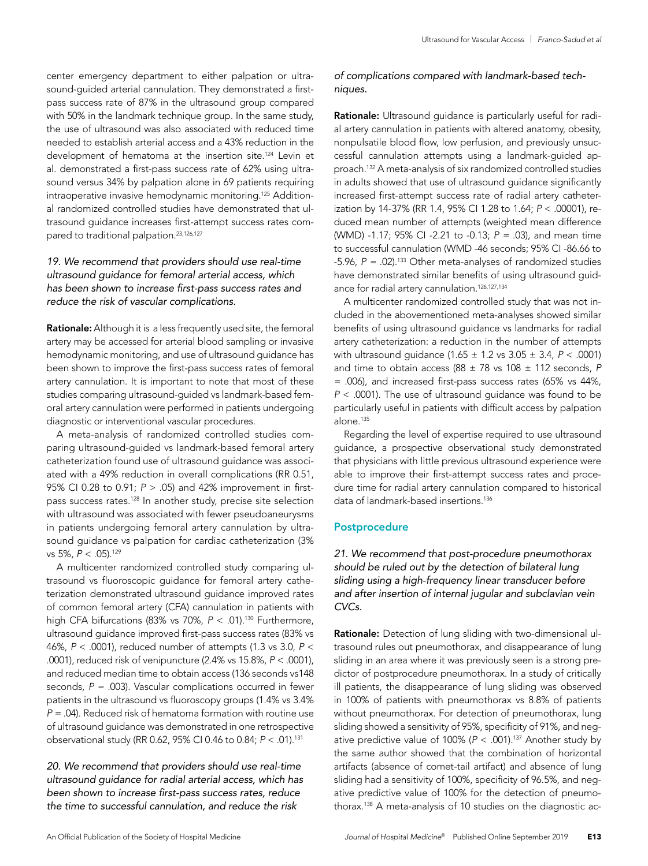center emergency department to either palpation or ultrasound-guided arterial cannulation. They demonstrated a firstpass success rate of 87% in the ultrasound group compared with 50% in the landmark technique group. In the same study, the use of ultrasound was also associated with reduced time needed to establish arterial access and a 43% reduction in the development of hematoma at the insertion site.124 Levin et al. demonstrated a first-pass success rate of 62% using ultrasound versus 34% by palpation alone in 69 patients requiring intraoperative invasive hemodynamic monitoring.125 Additional randomized controlled studies have demonstrated that ultrasound guidance increases first-attempt success rates compared to traditional palpation.23,126,127

# *19. We recommend that providers should use real-time ultrasound guidance for femoral arterial access, which has been shown to increase first-pass success rates and reduce the risk of vascular complications.*

Rationale: Although it is a less frequently used site, the femoral artery may be accessed for arterial blood sampling or invasive hemodynamic monitoring, and use of ultrasound guidance has been shown to improve the first-pass success rates of femoral artery cannulation. It is important to note that most of these studies comparing ultrasound-guided vs landmark-based femoral artery cannulation were performed in patients undergoing diagnostic or interventional vascular procedures.

A meta-analysis of randomized controlled studies comparing ultrasound-guided vs landmark-based femoral artery catheterization found use of ultrasound guidance was associated with a 49% reduction in overall complications (RR 0.51, 95% CI 0.28 to 0.91; *P* > .05) and 42% improvement in firstpass success rates.128 In another study, precise site selection with ultrasound was associated with fewer pseudoaneurysms in patients undergoing femoral artery cannulation by ultrasound guidance vs palpation for cardiac catheterization (3% vs 5%, *P* < .05).129

A multicenter randomized controlled study comparing ultrasound vs fluoroscopic guidance for femoral artery catheterization demonstrated ultrasound guidance improved rates of common femoral artery (CFA) cannulation in patients with high CFA bifurcations (83% vs 70%,  $P < .01$ ).<sup>130</sup> Furthermore, ultrasound guidance improved first-pass success rates (83% vs 46%, *P* < .0001), reduced number of attempts (1.3 vs 3.0, *P* < .0001), reduced risk of venipuncture (2.4% vs 15.8%, *P* < .0001), and reduced median time to obtain access (136 seconds vs148 seconds, *P = .*003). Vascular complications occurred in fewer patients in the ultrasound vs fluoroscopy groups (1.4% vs 3.4% *P = .*04). Reduced risk of hematoma formation with routine use of ultrasound guidance was demonstrated in one retrospective observational study (RR 0.62, 95% CI 0.46 to 0.84; *P* < .01).131

*20. We recommend that providers should use real-time ultrasound guidance for radial arterial access, which has been shown to increase first-pass success rates, reduce the time to successful cannulation, and reduce the risk* 

# *of complications compared with landmark-based techniques.*

Rationale: Ultrasound guidance is particularly useful for radial artery cannulation in patients with altered anatomy, obesity, nonpulsatile blood flow, low perfusion, and previously unsuccessful cannulation attempts using a landmark-guided approach.132 A meta-analysis of six randomized controlled studies in adults showed that use of ultrasound guidance significantly increased first-attempt success rate of radial artery catheterization by 14-37% (RR 1.4, 95% CI 1.28 to 1.64; *P* < .00001), reduced mean number of attempts (weighted mean difference (WMD) -1.17; 95% CI -2.21 to -0.13; *P = .*03), and mean time to successful cannulation (WMD -46 seconds; 95% CI -86.66 to -5.96, *P = .*02).133 Other meta-analyses of randomized studies have demonstrated similar benefits of using ultrasound guidance for radial artery cannulation.126,127,134

A multicenter randomized controlled study that was not included in the abovementioned meta-analyses showed similar benefits of using ultrasound guidance vs landmarks for radial artery catheterization: a reduction in the number of attempts with ultrasound guidance (1.65 ± 1.2 vs 3.05 ± 3.4, *P* < .0001) and time to obtain access ( $88 \pm 78$  vs  $108 \pm 112$  seconds, P *= .*006), and increased first-pass success rates (65% vs 44%, *P* < .0001). The use of ultrasound guidance was found to be particularly useful in patients with difficult access by palpation alone.<sup>135</sup>

Regarding the level of expertise required to use ultrasound guidance, a prospective observational study demonstrated that physicians with little previous ultrasound experience were able to improve their first-attempt success rates and procedure time for radial artery cannulation compared to historical data of landmark-based insertions.<sup>136</sup>

# **Postprocedure**

*21. We recommend that post-procedure pneumothorax should be ruled out by the detection of bilateral lung sliding using a high-frequency linear transducer before and after insertion of internal jugular and subclavian vein CVCs.*

Rationale: Detection of lung sliding with two-dimensional ultrasound rules out pneumothorax, and disappearance of lung sliding in an area where it was previously seen is a strong predictor of postprocedure pneumothorax. In a study of critically ill patients, the disappearance of lung sliding was observed in 100% of patients with pneumothorax vs 8.8% of patients without pneumothorax. For detection of pneumothorax, lung sliding showed a sensitivity of 95%, specificity of 91%, and negative predictive value of 100% (*P* < .001).137 Another study by the same author showed that the combination of horizontal artifacts (absence of comet-tail artifact) and absence of lung sliding had a sensitivity of 100%, specificity of 96.5%, and negative predictive value of 100% for the detection of pneumothorax.138 A meta-analysis of 10 studies on the diagnostic ac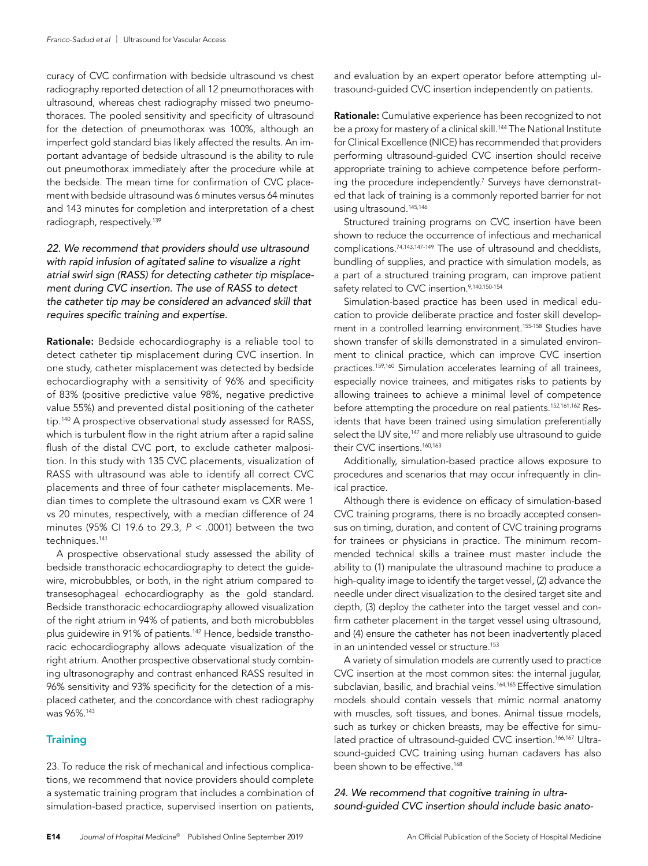curacy of CVC confirmation with bedside ultrasound vs chest radiography reported detection of all 12 pneumothoraces with ultrasound, whereas chest radiography missed two pneumothoraces. The pooled sensitivity and specificity of ultrasound for the detection of pneumothorax was 100%, although an imperfect gold standard bias likely affected the results. An important advantage of bedside ultrasound is the ability to rule out pneumothorax immediately after the procedure while at the bedside. The mean time for confirmation of CVC placement with bedside ultrasound was 6 minutes versus 64 minutes and 143 minutes for completion and interpretation of a chest radiograph, respectively.139

# *22. We recommend that providers should use ultrasound with rapid infusion of agitated saline to visualize a right atrial swirl sign (RASS) for detecting catheter tip misplacement during CVC insertion. The use of RASS to detect the catheter tip may be considered an advanced skill that requires specific training and expertise.*

Rationale: Bedside echocardiography is a reliable tool to detect catheter tip misplacement during CVC insertion. In one study, catheter misplacement was detected by bedside echocardiography with a sensitivity of 96% and specificity of 83% (positive predictive value 98%, negative predictive value 55%) and prevented distal positioning of the catheter tip.140 A prospective observational study assessed for RASS, which is turbulent flow in the right atrium after a rapid saline flush of the distal CVC port, to exclude catheter malposition. In this study with 135 CVC placements, visualization of RASS with ultrasound was able to identify all correct CVC placements and three of four catheter misplacements. Median times to complete the ultrasound exam vs CXR were 1 vs 20 minutes, respectively, with a median difference of 24 minutes (95% CI 19.6 to 29.3, *P* < .0001) between the two techniques.141

A prospective observational study assessed the ability of bedside transthoracic echocardiography to detect the guidewire, microbubbles, or both, in the right atrium compared to transesophageal echocardiography as the gold standard. Bedside transthoracic echocardiography allowed visualization of the right atrium in 94% of patients, and both microbubbles plus guidewire in 91% of patients.<sup>142</sup> Hence, bedside transthoracic echocardiography allows adequate visualization of the right atrium. Another prospective observational study combining ultrasonography and contrast enhanced RASS resulted in 96% sensitivity and 93% specificity for the detection of a misplaced catheter, and the concordance with chest radiography was 96%.143

#### **Training**

23. To reduce the risk of mechanical and infectious complications, we recommend that novice providers should complete a systematic training program that includes a combination of simulation-based practice, supervised insertion on patients,

and evaluation by an expert operator before attempting ultrasound-guided CVC insertion independently on patients.

Rationale: Cumulative experience has been recognized to not be a proxy for mastery of a clinical skill.<sup>144</sup> The National Institute for Clinical Excellence (NICE) has recommended that providers performing ultrasound-guided CVC insertion should receive appropriate training to achieve competence before performing the procedure independently.<sup>7</sup> Surveys have demonstrated that lack of training is a commonly reported barrier for not using ultrasound.145,146

Structured training programs on CVC insertion have been shown to reduce the occurrence of infectious and mechanical complications.74,143,147-149 The use of ultrasound and checklists, bundling of supplies, and practice with simulation models, as a part of a structured training program, can improve patient safety related to CVC insertion.<sup>9,140,150-154</sup>

Simulation-based practice has been used in medical education to provide deliberate practice and foster skill development in a controlled learning environment.<sup>155-158</sup> Studies have shown transfer of skills demonstrated in a simulated environment to clinical practice, which can improve CVC insertion practices.159,160 Simulation accelerates learning of all trainees, especially novice trainees, and mitigates risks to patients by allowing trainees to achieve a minimal level of competence before attempting the procedure on real patients.152,161,162 Residents that have been trained using simulation preferentially select the IJV site,<sup>147</sup> and more reliably use ultrasound to guide their CVC insertions.<sup>160,163</sup>

Additionally, simulation-based practice allows exposure to procedures and scenarios that may occur infrequently in clinical practice.

Although there is evidence on efficacy of simulation-based CVC training programs, there is no broadly accepted consensus on timing, duration, and content of CVC training programs for trainees or physicians in practice. The minimum recommended technical skills a trainee must master include the ability to (1) manipulate the ultrasound machine to produce a high-quality image to identify the target vessel, (2) advance the needle under direct visualization to the desired target site and depth, (3) deploy the catheter into the target vessel and confirm catheter placement in the target vessel using ultrasound, and (4) ensure the catheter has not been inadvertently placed in an unintended vessel or structure.<sup>153</sup>

A variety of simulation models are currently used to practice CVC insertion at the most common sites: the internal jugular, subclavian, basilic, and brachial veins.<sup>164,165</sup> Effective simulation models should contain vessels that mimic normal anatomy with muscles, soft tissues, and bones. Animal tissue models, such as turkey or chicken breasts, may be effective for simulated practice of ultrasound-guided CVC insertion.<sup>166,167</sup> Ultrasound-guided CVC training using human cadavers has also been shown to be effective.168

*24. We recommend that cognitive training in ultrasound-guided CVC insertion should include basic anato-*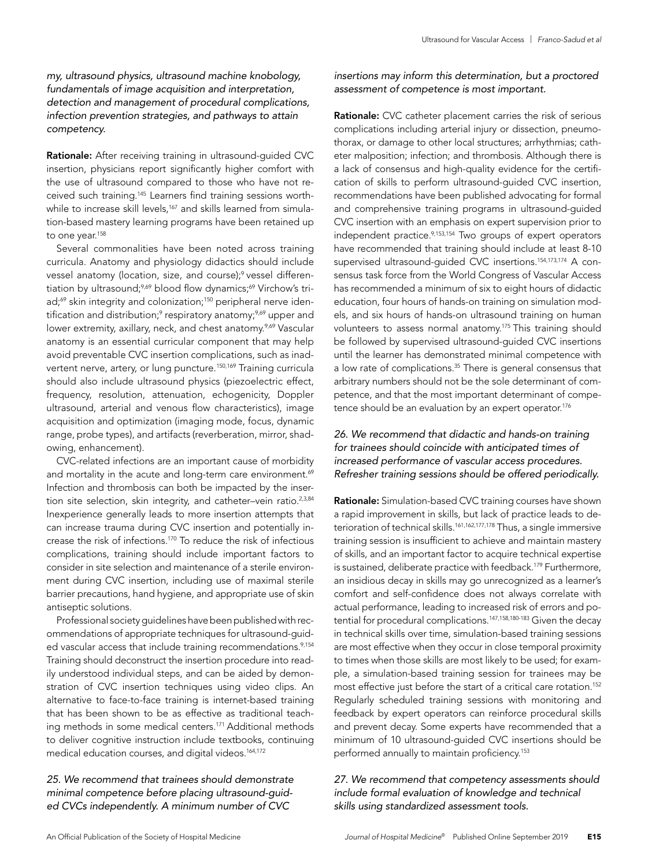# *my, ultrasound physics, ultrasound machine knobology, fundamentals of image acquisition and interpretation, detection and management of procedural complications, infection prevention strategies, and pathways to attain competency.*

Rationale: After receiving training in ultrasound-guided CVC insertion, physicians report significantly higher comfort with the use of ultrasound compared to those who have not received such training.145 Learners find training sessions worthwhile to increase skill levels,<sup>167</sup> and skills learned from simulation-based mastery learning programs have been retained up to one year.<sup>158</sup>

Several commonalities have been noted across training curricula. Anatomy and physiology didactics should include vessel anatomy (location, size, and course);<sup>9</sup> vessel differentiation by ultrasound;<sup>9,69</sup> blood flow dynamics;<sup>69</sup> Virchow's triad;<sup>69</sup> skin integrity and colonization;<sup>150</sup> peripheral nerve identification and distribution;<sup>9</sup> respiratory anatomy;<sup>9,69</sup> upper and lower extremity, axillary, neck, and chest anatomy.<sup>9,69</sup> Vascular anatomy is an essential curricular component that may help avoid preventable CVC insertion complications, such as inadvertent nerve, artery, or lung puncture.<sup>150,169</sup> Training curricula should also include ultrasound physics (piezoelectric effect, frequency, resolution, attenuation, echogenicity, Doppler ultrasound, arterial and venous flow characteristics), image acquisition and optimization (imaging mode, focus, dynamic range, probe types), and artifacts (reverberation, mirror, shadowing, enhancement).

CVC-related infections are an important cause of morbidity and mortality in the acute and long-term care environment.<sup>69</sup> Infection and thrombosis can both be impacted by the insertion site selection, skin integrity, and catheter-vein ratio.<sup>2,3,84</sup> Inexperience generally leads to more insertion attempts that can increase trauma during CVC insertion and potentially increase the risk of infections.170 To reduce the risk of infectious complications, training should include important factors to consider in site selection and maintenance of a sterile environment during CVC insertion, including use of maximal sterile barrier precautions, hand hygiene, and appropriate use of skin antiseptic solutions.

Professional society guidelines have been published with recommendations of appropriate techniques for ultrasound-guided vascular access that include training recommendations.<sup>9,154</sup> Training should deconstruct the insertion procedure into readily understood individual steps, and can be aided by demonstration of CVC insertion techniques using video clips. An alternative to face-to-face training is internet-based training that has been shown to be as effective as traditional teaching methods in some medical centers.171 Additional methods to deliver cognitive instruction include textbooks, continuing medical education courses, and digital videos.164,172

# *25. We recommend that trainees should demonstrate minimal competence before placing ultrasound-guided CVCs independently. A minimum number of CVC*

# *insertions may inform this determination, but a proctored assessment of competence is most important.*

Rationale: CVC catheter placement carries the risk of serious complications including arterial injury or dissection, pneumothorax, or damage to other local structures; arrhythmias; catheter malposition; infection; and thrombosis. Although there is a lack of consensus and high-quality evidence for the certification of skills to perform ultrasound-guided CVC insertion, recommendations have been published advocating for formal and comprehensive training programs in ultrasound-guided CVC insertion with an emphasis on expert supervision prior to independent practice.<sup>9,153,154</sup> Two groups of expert operators have recommended that training should include at least 8-10 supervised ultrasound-quided CVC insertions.<sup>154,173,174</sup> A consensus task force from the World Congress of Vascular Access has recommended a minimum of six to eight hours of didactic education, four hours of hands-on training on simulation models, and six hours of hands-on ultrasound training on human volunteers to assess normal anatomy.175 This training should be followed by supervised ultrasound-guided CVC insertions until the learner has demonstrated minimal competence with a low rate of complications.<sup>35</sup> There is general consensus that arbitrary numbers should not be the sole determinant of competence, and that the most important determinant of competence should be an evaluation by an expert operator.<sup>176</sup>

# *26. We recommend that didactic and hands-on training for trainees should coincide with anticipated times of increased performance of vascular access procedures. Refresher training sessions should be offered periodically.*

Rationale: Simulation-based CVC training courses have shown a rapid improvement in skills, but lack of practice leads to deterioration of technical skills.<sup>161,162,177,178</sup> Thus, a single immersive training session is insufficient to achieve and maintain mastery of skills, and an important factor to acquire technical expertise is sustained, deliberate practice with feedback.<sup>179</sup> Furthermore, an insidious decay in skills may go unrecognized as a learner's comfort and self-confidence does not always correlate with actual performance, leading to increased risk of errors and potential for procedural complications.<sup>147,158,180-183</sup> Given the decay in technical skills over time, simulation-based training sessions are most effective when they occur in close temporal proximity to times when those skills are most likely to be used; for example, a simulation-based training session for trainees may be most effective just before the start of a critical care rotation.152 Regularly scheduled training sessions with monitoring and feedback by expert operators can reinforce procedural skills and prevent decay. Some experts have recommended that a minimum of 10 ultrasound-guided CVC insertions should be performed annually to maintain proficiency.153

# *27. We recommend that competency assessments should include formal evaluation of knowledge and technical skills using standardized assessment tools.*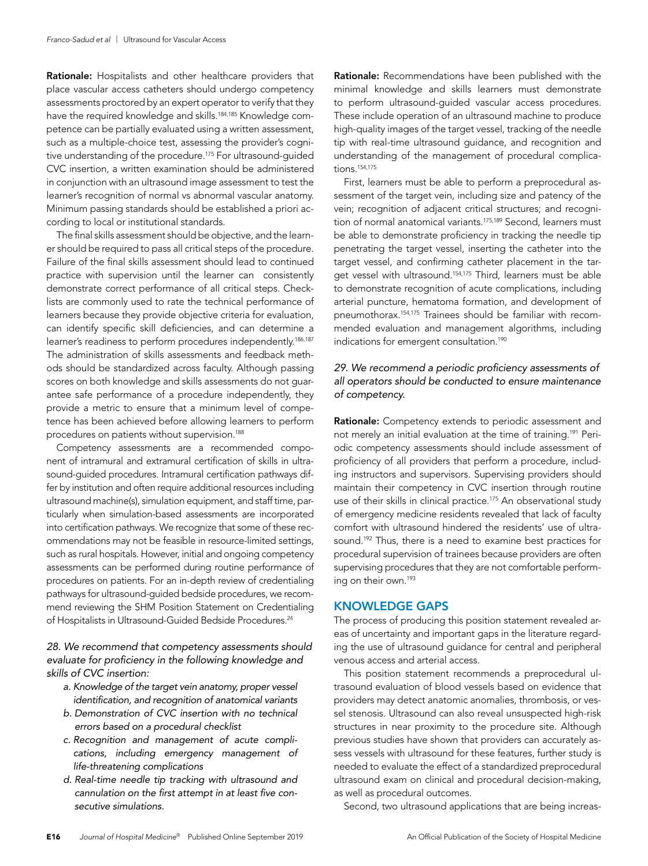Rationale: Hospitalists and other healthcare providers that place vascular access catheters should undergo competency assessments proctored by an expert operator to verify that they have the required knowledge and skills.<sup>184,185</sup> Knowledge competence can be partially evaluated using a written assessment, such as a multiple-choice test, assessing the provider's cognitive understanding of the procedure.<sup>175</sup> For ultrasound-guided CVC insertion, a written examination should be administered in conjunction with an ultrasound image assessment to test the learner's recognition of normal vs abnormal vascular anatomy. Minimum passing standards should be established a priori according to local or institutional standards.

The final skills assessment should be objective, and the learner should be required to pass all critical steps of the procedure. Failure of the final skills assessment should lead to continued practice with supervision until the learner can consistently demonstrate correct performance of all critical steps. Checklists are commonly used to rate the technical performance of learners because they provide objective criteria for evaluation, can identify specific skill deficiencies, and can determine a learner's readiness to perform procedures independently.186,187 The administration of skills assessments and feedback methods should be standardized across faculty. Although passing scores on both knowledge and skills assessments do not guarantee safe performance of a procedure independently, they provide a metric to ensure that a minimum level of competence has been achieved before allowing learners to perform procedures on patients without supervision.188

Competency assessments are a recommended component of intramural and extramural certification of skills in ultrasound-guided procedures. Intramural certification pathways differ by institution and often require additional resources including ultrasound machine(s), simulation equipment, and staff time, particularly when simulation-based assessments are incorporated into certification pathways. We recognize that some of these recommendations may not be feasible in resource-limited settings, such as rural hospitals. However, initial and ongoing competency assessments can be performed during routine performance of procedures on patients. For an in-depth review of credentialing pathways for ultrasound-guided bedside procedures, we recommend reviewing the SHM Position Statement on Credentialing of Hospitalists in Ultrasound-Guided Bedside Procedures.<sup>24</sup>

# *28. We recommend that competency assessments should evaluate for proficiency in the following knowledge and skills of CVC insertion:*

- *a. Knowledge of the target vein anatomy, proper vessel identification, and recognition of anatomical variants*
- *b. Demonstration of CVC insertion with no technical errors based on a procedural checklist*
- *c. Recognition and management of acute complications, including emergency management of life-threatening complications*
- *d. Real-time needle tip tracking with ultrasound and cannulation on the first attempt in at least five consecutive simulations.*

Rationale: Recommendations have been published with the minimal knowledge and skills learners must demonstrate to perform ultrasound-guided vascular access procedures. These include operation of an ultrasound machine to produce high-quality images of the target vessel, tracking of the needle tip with real-time ultrasound guidance, and recognition and understanding of the management of procedural complications.154,175

First, learners must be able to perform a preprocedural assessment of the target vein, including size and patency of the vein; recognition of adjacent critical structures; and recognition of normal anatomical variants.<sup>175,189</sup> Second, learners must be able to demonstrate proficiency in tracking the needle tip penetrating the target vessel, inserting the catheter into the target vessel, and confirming catheter placement in the target vessel with ultrasound.<sup>154,175</sup> Third, learners must be able to demonstrate recognition of acute complications, including arterial puncture, hematoma formation, and development of pneumothorax.154,175 Trainees should be familiar with recommended evaluation and management algorithms, including indications for emergent consultation.<sup>190</sup>

# *29. We recommend a periodic proficiency assessments of all operators should be conducted to ensure maintenance of competency.*

Rationale: Competency extends to periodic assessment and not merely an initial evaluation at the time of training.191 Periodic competency assessments should include assessment of proficiency of all providers that perform a procedure, including instructors and supervisors. Supervising providers should maintain their competency in CVC insertion through routine use of their skills in clinical practice.<sup>175</sup> An observational study of emergency medicine residents revealed that lack of faculty comfort with ultrasound hindered the residents' use of ultrasound.<sup>192</sup> Thus, there is a need to examine best practices for procedural supervision of trainees because providers are often supervising procedures that they are not comfortable performing on their own.193

# KNOWLEDGE GAPS

The process of producing this position statement revealed areas of uncertainty and important gaps in the literature regarding the use of ultrasound guidance for central and peripheral venous access and arterial access.

This position statement recommends a preprocedural ultrasound evaluation of blood vessels based on evidence that providers may detect anatomic anomalies, thrombosis, or vessel stenosis. Ultrasound can also reveal unsuspected high-risk structures in near proximity to the procedure site. Although previous studies have shown that providers can accurately assess vessels with ultrasound for these features, further study is needed to evaluate the effect of a standardized preprocedural ultrasound exam on clinical and procedural decision-making, as well as procedural outcomes.

Second, two ultrasound applications that are being increas-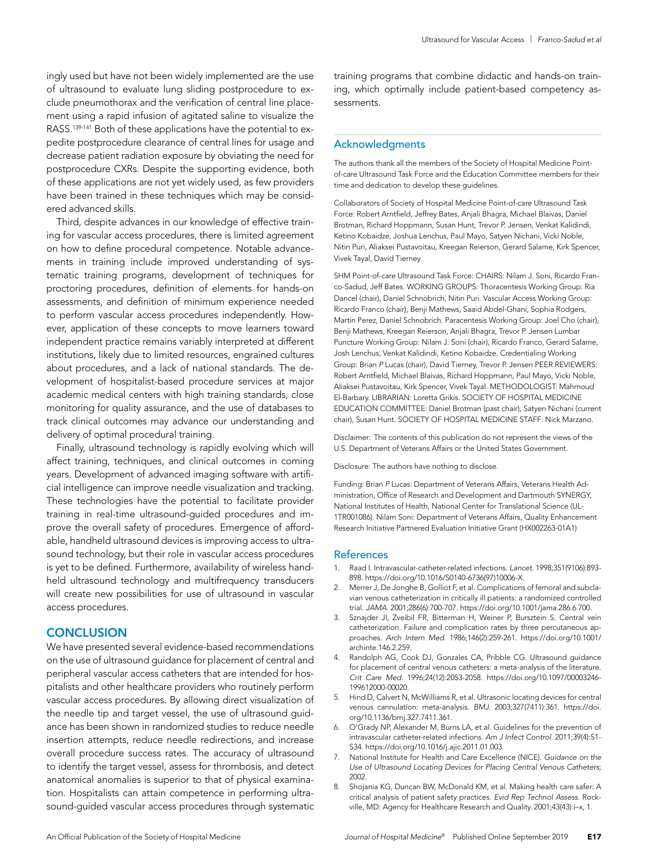ingly used but have not been widely implemented are the use of ultrasound to evaluate lung sliding postprocedure to exclude pneumothorax and the verification of central line placement using a rapid infusion of agitated saline to visualize the RASS.<sup>139-141</sup> Both of these applications have the potential to expedite postprocedure clearance of central lines for usage and decrease patient radiation exposure by obviating the need for postprocedure CXRs. Despite the supporting evidence, both of these applications are not yet widely used, as few providers have been trained in these techniques which may be considered advanced skills.

Third, despite advances in our knowledge of effective training for vascular access procedures, there is limited agreement on how to define procedural competence. Notable advancements in training include improved understanding of systematic training programs, development of techniques for proctoring procedures, definition of elements for hands-on assessments, and definition of minimum experience needed to perform vascular access procedures independently. However, application of these concepts to move learners toward independent practice remains variably interpreted at different institutions, likely due to limited resources, engrained cultures about procedures, and a lack of national standards. The development of hospitalist-based procedure services at major academic medical centers with high training standards, close monitoring for quality assurance, and the use of databases to track clinical outcomes may advance our understanding and delivery of optimal procedural training.

Finally, ultrasound technology is rapidly evolving which will affect training, techniques, and clinical outcomes in coming years. Development of advanced imaging software with artificial intelligence can improve needle visualization and tracking. These technologies have the potential to facilitate provider training in real-time ultrasound-guided procedures and improve the overall safety of procedures. Emergence of affordable, handheld ultrasound devices is improving access to ultrasound technology, but their role in vascular access procedures is yet to be defined. Furthermore, availability of wireless handheld ultrasound technology and multifrequency transducers will create new possibilities for use of ultrasound in vascular access procedures.

# **CONCLUSION**

We have presented several evidence-based recommendations on the use of ultrasound guidance for placement of central and peripheral vascular access catheters that are intended for hospitalists and other healthcare providers who routinely perform vascular access procedures. By allowing direct visualization of the needle tip and target vessel, the use of ultrasound guidance has been shown in randomized studies to reduce needle insertion attempts, reduce needle redirections, and increase overall procedure success rates. The accuracy of ultrasound to identify the target vessel, assess for thrombosis, and detect anatomical anomalies is superior to that of physical examination. Hospitalists can attain competence in performing ultrasound-guided vascular access procedures through systematic

training programs that combine didactic and hands-on training, which optimally include patient-based competency assessments.

### Acknowledgments

The authors thank all the members of the Society of Hospital Medicine Pointof-care Ultrasound Task Force and the Education Committee members for their time and dedication to develop these guidelines.

Collaborators of Society of Hospital Medicine Point-of-care Ultrasound Task Force: Robert Arntfield, Jeffrey Bates, Anjali Bhagra, Michael Blaivas, Daniel Brotman, Richard Hoppmann, Susan Hunt, Trevor P. Jensen, Venkat Kalidindi, Ketino Kobaidze, Joshua Lenchus, Paul Mayo, Satyen Nichani, Vicki Noble, Nitin Puri, Aliaksei Pustavoitau, Kreegan Reierson, Gerard Salame, Kirk Spencer, Vivek Tayal, David Tierney

SHM Point-of-care Ultrasound Task Force: CHAIRS: Nilam J. Soni, Ricardo Franco-Sadud, Jeff Bates. WORKING GROUPS: Thoracentesis Working Group: Ria Dancel (chair), Daniel Schnobrich, Nitin Puri. Vascular Access Working Group: Ricardo Franco (chair), Benji Mathews, Saaid Abdel-Ghani, Sophia Rodgers, Martin Perez, Daniel Schnobrich. Paracentesis Working Group: Joel Cho (chair), Benji Mathews, Kreegan Reierson, Anjali Bhagra, Trevor P. Jensen Lumbar Puncture Working Group: Nilam J. Soni (chair), Ricardo Franco, Gerard Salame, Josh Lenchus, Venkat Kalidindi, Ketino Kobaidze. Credentialing Working Group: Brian *P* Lucas (chair), David Tierney, Trevor P. Jensen PEER REVIEWERS: Robert Arntfield, Michael Blaivas, Richard Hoppmann, Paul Mayo, Vicki Noble, Aliaksei Pustavoitau, Kirk Spencer, Vivek Tayal. METHODOLOGIST: Mahmoud El-Barbary. LIBRARIAN: Loretta Grikis. SOCIETY OF HOSPITAL MEDICINE EDUCATION COMMITTEE: Daniel Brotman (past chair), Satyen Nichani (current chair), Susan Hunt. SOCIETY OF HOSPITAL MEDICINE STAFF: Nick Marzano.

Disclaimer: The contents of this publication do not represent the views of the U.S. Department of Veterans Affairs or the United States Government.

Disclosure: The authors have nothing to disclose.

Funding: Brian *P* Lucas: Department of Veterans Affairs, Veterans Health Administration, Office of Research and Development and Dartmouth SYNERGY, National Institutes of Health, National Center for Translational Science (UL-1TR001086). Nilam Soni: Department of Veterans Affairs, Quality Enhancement Research Initiative Partnered Evaluation Initiative Grant (HX002263-01A1)

#### References

- 1. Raad I. Intravascular-catheter-related infections. *Lancet.* 1998;351(9106):893- 898. https://doi.org/10.1016/S0140-6736(97)10006-X.
- 2. Merrer J, De Jonghe B, Golliot F, et al. Complications of femoral and subclavian venous catheterization in critically ill patients: a randomized controlled trial. *JAMA.* 2001;286(6):700-707. https://doi.org/10.1001/jama.286.6.700.
- Sznajder JI, Zveibil FR, Bitterman H, Weiner P, Bursztein S. Central vein catheterization. Failure and complication rates by three percutaneous approaches. *Arch Intern Med.* 1986;146(2):259-261. https://doi.org/10.1001/ archinte.146.2.259.
- 4. Randolph AG, Cook DJ, Gonzales CA, Pribble CG. Ultrasound guidance for placement of central venous catheters: a meta-analysis of the literature. *Crit Care Med.* 1996;24(12):2053-2058. https://doi.org/10.1097/00003246- 199612000-00020.
- 5. Hind D, Calvert N, McWilliams R, et al. Ultrasonic locating devices for central venous cannulation: meta-analysis. *BMJ.* 2003;327(7411):361. https://doi. org/10.1136/bmj.327.7411.361.
- 6. O'Grady NP, Alexander M, Burns LA, et al. Guidelines for the prevention of intravascular catheter-related infections. *Am J Infect Control.* 2011;39(4):S1- S34. https://doi.org/10.1016/j.ajic.2011.01.003.
- 7. National Institute for Health and Care Excellence (NICE). *Guidance on the Use of Ultrasound Locating Devices for Placing Central Venous Catheters*; 2002.
- 8. Shojania KG, Duncan BW, McDonald KM, et al. Making health care safer: A critical analysis of patient safety practices. *Evid Rep Technol Assess*. Rockville, MD: Agency for Healthcare Research and Quality. 2001;43(43):i–x, 1.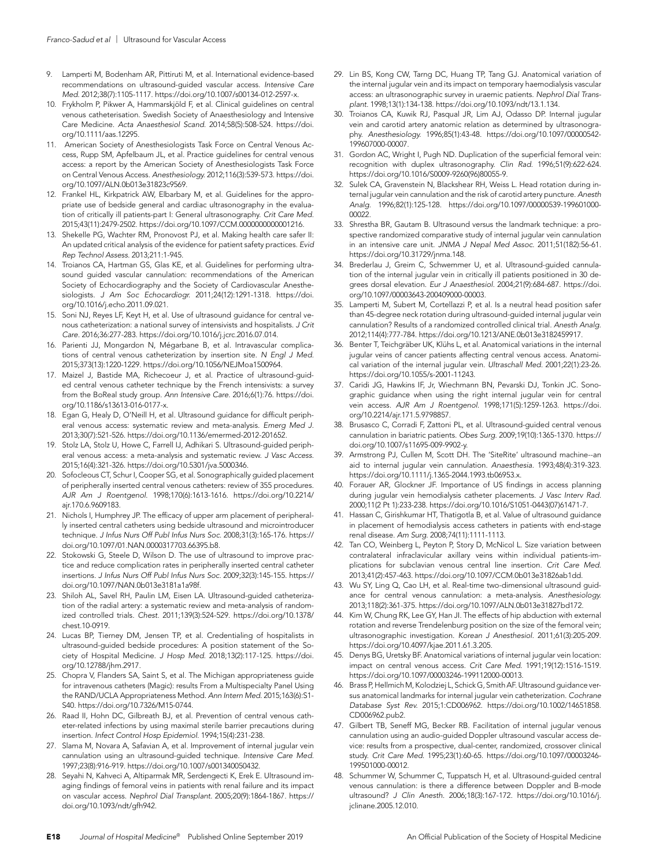- 9. Lamperti M, Bodenham AR, Pittiruti M, et al. International evidence-based recommendations on ultrasound-guided vascular access. *Intensive Care Med.* 2012;38(7):1105-1117. https://doi.org/10.1007/s00134-012-2597-x.
- 10. Frykholm P, Pikwer A, Hammarskjöld F, et al. Clinical guidelines on central venous catheterisation. Swedish Society of Anaesthesiology and Intensive Care Medicine. *Acta Anaesthesiol Scand.* 2014;58(5):508-524. https://doi. org/10.1111/aas.12295.
- 11. American Society of Anesthesiologists Task Force on Central Venous Access, Rupp SM, Apfelbaum JL, et al*.* Practice guidelines for central venous access: a report by the American Society of Anesthesiologists Task Force on Central Venous Access. *Anesthesiology.* 2012;116(3):539-573. https://doi. org/10.1097/ALN.0b013e31823c9569.
- 12. Frankel HL, Kirkpatrick AW, Elbarbary M, et al. Guidelines for the appropriate use of bedside general and cardiac ultrasonography in the evaluation of critically ill patients-part I: General ultrasonography. *Crit Care Med.*  2015;43(11):2479-2502. https://doi.org/10.1097/CCM.0000000000001216.
- 13. Shekelle PG, Wachter RM, Pronovost PJ, et al. Making health care safer II: An updated critical analysis of the evidence for patient safety practices. *Evid Rep Technol Assess.* 2013;211:1-945.
- 14. Troianos CA, Hartman GS, Glas KE, et al. Guidelines for performing ultrasound guided vascular cannulation: recommendations of the American Society of Echocardiography and the Society of Cardiovascular Anesthesiologists. *J Am Soc Echocardiogr.* 2011;24(12):1291-1318. https://doi. org/10.1016/j.echo.2011.09.021.
- 15. Soni NJ, Reyes LF, Keyt H, et al. Use of ultrasound guidance for central venous catheterization: a national survey of intensivists and hospitalists. *J Crit Care.* 2016;36:277-283. https://doi.org/10.1016/j.jcrc.2016.07.014.
- 16. Parienti JJ, Mongardon N, Mégarbane B, et al. Intravascular complications of central venous catheterization by insertion site. *N Engl J Med.*  2015;373(13):1220-1229. https://doi.org/10.1056/NEJMoa1500964.
- 17. Maizel J, Bastide MA, Richecoeur J, et al. Practice of ultrasound-guided central venous catheter technique by the French intensivists: a survey from the BoReal study group. *Ann Intensive Care.* 2016;6(1):76. https://doi. org/10.1186/s13613-016-0177-x.
- 18. Egan G, Healy D, O'Neill H, et al*.* Ultrasound guidance for difficult peripheral venous access: systematic review and meta-analysis. *Emerg Med J.*  2013;30(7):521-526. https://doi.org/10.1136/emermed-2012-201652.
- 19. Stolz LA, Stolz U, Howe C, Farrell IJ, Adhikari S. Ultrasound-guided peripheral venous access: a meta-analysis and systematic review. *J Vasc Access.*  2015;16(4):321-326. https://doi.org/10.5301/jva.5000346.
- 20. Sofocleous CT, Schur I, Cooper SG, et al*.* Sonographically guided placement of peripherally inserted central venous catheters: review of 355 procedures. *AJR Am J Roentgenol.* 1998;170(6):1613-1616. https://doi.org/10.2214/ ajr.170.6.9609183.
- 21. Nichols I, Humphrey JP. The efficacy of upper arm placement of peripherally inserted central catheters using bedside ultrasound and microintroducer technique. *J Infus Nurs Off Publ Infus Nurs Soc.* 2008;31(3):165-176. https:// doi.org/10.1097/01.NAN.0000317703.66395.b8.
- 22. Stokowski G, Steele D, Wilson D. The use of ultrasound to improve practice and reduce complication rates in peripherally inserted central catheter insertions. *J Infus Nurs Off Publ Infus Nurs Soc.* 2009;32(3):145-155. https:// doi.org/10.1097/NAN.0b013e3181a1a98f.
- 23. Shiloh AL, Savel RH, Paulin LM, Eisen LA. Ultrasound-guided catheterization of the radial artery: a systematic review and meta-analysis of randomized controlled trials. *Chest.* 2011;139(3):524-529. https://doi.org/10.1378/ chest.10-0919.
- 24. Lucas BP, Tierney DM, Jensen TP, et al. Credentialing of hospitalists in ultrasound-guided bedside procedures: A position statement of the Society of Hospital Medicine. *J Hosp Med.* 2018;13(2):117-125. https://doi. org/10.12788/jhm.2917.
- 25. Chopra V, Flanders SA, Saint S, et al. The Michigan appropriateness guide for intravenous catheters (Magic): results From a Multispecialty Panel Using the RAND/UCLA Appropriateness Method. *Ann Intern Med.* 2015;163(6):S1- S40. https://doi.org/10.7326/M15-0744.
- 26. Raad II, Hohn DC, Gilbreath BJ, et al. Prevention of central venous catheter-related infections by using maximal sterile barrier precautions during insertion. *Infect Control Hosp Epidemiol.* 1994;15(4):231-238.
- 27. Slama M, Novara A, Safavian A, et al*.* Improvement of internal jugular vein cannulation using an ultrasound-guided technique. *Intensive Care Med.*  1997;23(8):916-919. https://doi.org/10.1007/s001340050432.
- 28. Seyahi N, Kahveci A, Altiparmak MR, Serdengecti K, Erek E. Ultrasound imaging findings of femoral veins in patients with renal failure and its impact on vascular access. *Nephrol Dial Transplant.* 2005;20(9):1864-1867. https:// doi.org/10.1093/ndt/gfh942.
- 29. Lin BS, Kong CW, Tarng DC, Huang TP, Tang GJ. Anatomical variation of the internal jugular vein and its impact on temporary haemodialysis vascular access: an ultrasonographic survey in uraemic patients. *Nephrol Dial Transplant.* 1998;13(1):134-138. https://doi.org/10.1093/ndt/13.1.134.
- 30. Troianos CA, Kuwik RJ, Pasqual JR, Lim AJ, Odasso DP. Internal jugular vein and carotid artery anatomic relation as determined by ultrasonography. *Anesthesiology.* 1996;85(1):43-48. https://doi.org/10.1097/00000542- 199607000-00007.
- 31. Gordon AC, Wright I, Pugh ND. Duplication of the superficial femoral vein: recognition with duplex ultrasonography. *Clin Rad.* 1996;51(9):622-624. https://doi.org/10.1016/S0009-9260(96)80055-9.
- 32. Sulek CA, Gravenstein N, Blackshear RH, Weiss L. Head rotation during internal jugular vein cannulation and the risk of carotid artery puncture. *Anesth Analg.* 1996;82(1):125-128. https://doi.org/10.1097/00000539-199601000- 00022.
- 33. Shrestha BR, Gautam B. Ultrasound versus the landmark technique: a prospective randomized comparative study of internal jugular vein cannulation in an intensive care unit. *JNMA J Nepal Med Assoc.* 2011;51(182):56-61. https://doi.org/10.31729/jnma.148.
- 34. Brederlau J, Greim C, Schwemmer U, et al*.* Ultrasound-guided cannulation of the internal jugular vein in critically ill patients positioned in 30 degrees dorsal elevation. *Eur J Anaesthesiol.* 2004;21(9):684-687. https://doi. org/10.1097/00003643-200409000-00003.
- 35. Lamperti M, Subert M, Cortellazzi P, et al. Is a neutral head position safer than 45-degree neck rotation during ultrasound-guided internal jugular vein cannulation? Results of a randomized controlled clinical trial. *Anesth Analg.*  2012;114(4):777-784. https://doi.org/10.1213/ANE.0b013e3182459917.
- 36. Benter T, Teichgräber UK, Klühs L, et al. Anatomical variations in the internal jugular veins of cancer patients affecting central venous access. Anatomical variation of the internal jugular vein. *Ultraschall Med.* 2001;22(1):23-26. https://doi.org/10.1055/s-2001-11243.
- 37. Caridi JG, Hawkins IF, Jr, Wiechmann BN, Pevarski DJ, Tonkin JC. Sonographic guidance when using the right internal jugular vein for central vein access. *AJR Am J Roentgenol.* 1998;171(5):1259-1263. https://doi. org/10.2214/ajr.171.5.9798857.
- 38. Brusasco C, Corradi F, Zattoni PL, et al*.* Ultrasound-guided central venous cannulation in bariatric patients. *Obes Surg.* 2009;19(10):1365-1370. https:// doi.org/10.1007/s11695-009-9902-y.
- 39. Armstrong PJ, Cullen M, Scott DH. The 'SiteRite' ultrasound machine--an aid to internal jugular vein cannulation. *Anaesthesia.* 1993;48(4):319-323. https://doi.org/10.1111/j.1365-2044.1993.tb06953.x.
- 40. Forauer AR, Glockner JF. Importance of US findings in access planning during jugular vein hemodialysis catheter placements. *J Vasc Interv Rad.*  2000;11(2 Pt 1):233-238. https://doi.org/10.1016/S1051-0443(07)61471-7.
- 41. Hassan C, Girishkumar HT, Thatigotla B, et al. Value of ultrasound guidance in placement of hemodialysis access catheters in patients with end-stage renal disease. *Am Surg.* 2008;74(11):1111-1113.
- 42. Tan CO, Weinberg L, Peyton P, Story D, McNicol L. Size variation between contralateral infraclavicular axillary veins within individual patients-implications for subclavian venous central line insertion. *Crit Care Med.*  2013;41(2):457-463. https://doi.org/10.1097/CCM.0b013e31826ab1dd.
- 43. Wu SY, Ling Q, Cao LH, et al*.* Real-time two-dimensional ultrasound guidance for central venous cannulation: a meta-analysis. *Anesthesiology.*  2013;118(2):361-375. https://doi.org/10.1097/ALN.0b013e31827bd172.
- 44. Kim W, Chung RK, Lee GY, Han JI. The effects of hip abduction with external rotation and reverse Trendelenburg position on the size of the femoral vein; ultrasonographic investigation. *Korean J Anesthesiol.* 2011;61(3):205-209. https://doi.org/10.4097/kjae.2011.61.3.205.
- 45. Denys BG, Uretsky BF. Anatomical variations of internal jugular vein location: impact on central venous access. *Crit Care Med.* 1991;19(12):1516-1519. https://doi.org/10.1097/00003246-199112000-00013.
- 46. Brass P, Hellmich M, Kolodziej L, Schick G, Smith AF. Ultrasound guidance versus anatomical landmarks for internal jugular vein catheterization. *Cochrane Database Syst Rev.* 2015;1:CD006962. https://doi.org/10.1002/14651858. CD006962.pub2.
- 47. Gilbert TB, Seneff MG, Becker RB. Facilitation of internal jugular venous cannulation using an audio-guided Doppler ultrasound vascular access device: results from a prospective, dual-center, randomized, crossover clinical study. *Crit Care Med.* 1995;23(1):60-65. https://doi.org/10.1097/00003246- 199501000-00012.
- 48. Schummer W, Schummer C, Tuppatsch H, et al*.* Ultrasound-guided central venous cannulation: is there a difference between Doppler and B-mode ultrasound? *J Clin Anesth.* 2006;18(3):167-172. https://doi.org/10.1016/j. jclinane.2005.12.010.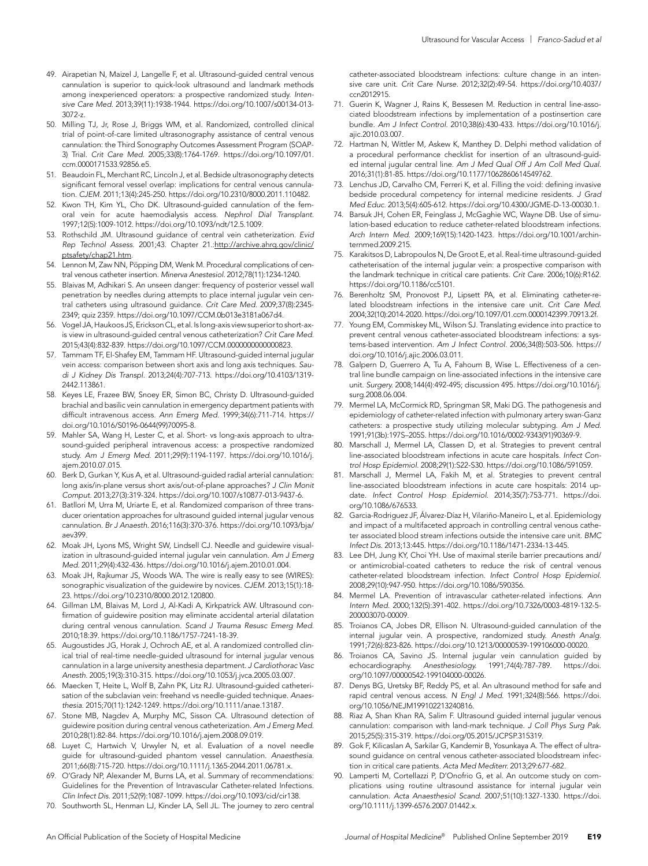- 49. Airapetian N, Maizel J, Langelle F, et al. Ultrasound-guided central venous cannulation is superior to quick-look ultrasound and landmark methods among inexperienced operators: a prospective randomized study. *Intensive Care Med.* 2013;39(11):1938-1944. https://doi.org/10.1007/s00134-013- 3072-z.
- 50. Milling TJ, Jr, Rose J, Briggs WM, et al. Randomized, controlled clinical trial of point-of-care limited ultrasonography assistance of central venous cannulation: the Third Sonography Outcomes Assessment Program (SOAP-3) Trial. *Crit Care Med.* 2005;33(8):1764-1769. https://doi.org/10.1097/01. ccm.0000171533.92856.e5.
- 51. Beaudoin FL, Merchant RC, Lincoln J, et al*.* Bedside ultrasonography detects significant femoral vessel overlap: implications for central venous cannulation. *CJEM.* 2011;13(4):245-250. https://doi.org/10.2310/8000.2011.110482.
- 52. Kwon TH, Kim YL, Cho DK. Ultrasound-guided cannulation of the femoral vein for acute haemodialysis access. *Nephrol Dial Transplant.*  1997;12(5):1009-1012. https://doi.org/10.1093/ndt/12.5.1009.
- 53. Rothschild JM. Ultrasound guidance of central vein catheterization. *Evid Rep Technol Assess*. 2001;43. Chapter 21.:http://archive.ahrq.gov/clinic/ ptsafety/chap21.htm.
- 54. Lennon M, Zaw NN, Pöpping DM, Wenk M. Procedural complications of central venous catheter insertion. *Minerva Anestesiol.* 2012;78(11):1234-1240.
- 55. Blaivas M, Adhikari S. An unseen danger: frequency of posterior vessel wall penetration by needles during attempts to place internal jugular vein central catheters using ultrasound guidance. *Crit Care Med.* 2009;37(8):2345- 2349; quiz 2359. https://doi.org/10.1097/CCM.0b013e3181a067d4.
- 56. Vogel JA, Haukoos JS, Erickson CL, et al. Is long-axis view superior to short-axis view in ultrasound-guided central venous catheterization? *Crit Care Med.*  2015;43(4):832-839. https://doi.org/10.1097/CCM.0000000000000823.
- 57. Tammam TF, El-Shafey EM, Tammam HF. Ultrasound-guided internal jugular vein access: comparison between short axis and long axis techniques. *Saudi J Kidney Dis Transpl.* 2013;24(4):707-713. https://doi.org/10.4103/1319- 2442.113861.
- 58. Keyes LE, Frazee BW, Snoey ER, Simon BC, Christy D. Ultrasound-guided brachial and basilic vein cannulation in emergency department patients with difficult intravenous access. *Ann Emerg Med.* 1999;34(6):711-714. https:// doi.org/10.1016/S0196-0644(99)70095-8.
- 59. Mahler SA, Wang H, Lester C, et al*.* Short- vs long-axis approach to ultrasound-guided peripheral intravenous access: a prospective randomized study. *Am J Emerg Med.* 2011;29(9):1194-1197. https://doi.org/10.1016/j. ajem.2010.07.015.
- 60. Berk D, Gurkan Y, Kus A, et al*.* Ultrasound-guided radial arterial cannulation: long axis/in-plane versus short axis/out-of-plane approaches? *J Clin Monit Comput.* 2013;27(3):319-324. https://doi.org/10.1007/s10877-013-9437-6.
- 61. Batllori M, Urra M, Uriarte E, et al. Randomized comparison of three transducer orientation approaches for ultrasound guided internal jugular venous cannulation. *Br J Anaesth.* 2016;116(3):370-376. https://doi.org/10.1093/bja/ aev399.
- 62. Moak JH, Lyons MS, Wright SW, Lindsell CJ. Needle and guidewire visualization in ultrasound-guided internal jugular vein cannulation. *Am J Emerg Med.* 2011;29(4):432-436. https://doi.org/10.1016/j.ajem.2010.01.004.
- 63. Moak JH, Rajkumar JS, Woods WA. The wire is really easy to see (WIRES): sonographic visualization of the guidewire by novices. *CJEM.* 2013;15(1):18- 23. https://doi.org/10.2310/8000.2012.120800.
- Gillman LM, Blaivas M, Lord J, Al-Kadi A, Kirkpatrick AW. Ultrasound confirmation of guidewire position may eliminate accidental arterial dilatation during central venous cannulation. *Scand J Trauma Resusc Emerg Med.*  2010;18:39. https://doi.org/10.1186/1757-7241-18-39.
- 65. Augoustides JG, Horak J, Ochroch AE, et al. A randomized controlled clinical trial of real-time needle-guided ultrasound for internal jugular venous cannulation in a large university anesthesia department. *J Cardiothorac Vasc Anesth.* 2005;19(3):310-315. https://doi.org/10.1053/j.jvca.2005.03.007.
- 66. Maecken T, Heite L, Wolf B, Zahn PK, Litz RJ. Ultrasound-guided catheterisation of the subclavian vein: freehand vs needle-guided technique. *Anaesthesia.* 2015;70(11):1242-1249. https://doi.org/10.1111/anae.13187.
- 67. Stone MB, Nagdev A, Murphy MC, Sisson CA. Ultrasound detection of guidewire position during central venous catheterization. *Am J Emerg Med.*  2010;28(1):82-84. https://doi.org/10.1016/j.ajem.2008.09.019.
- 68. Luyet C, Hartwich V, Urwyler N, et al*.* Evaluation of a novel needle guide for ultrasound-guided phantom vessel cannulation. *Anaesthesia.*  2011;66(8):715-720. https://doi.org/10.1111/j.1365-2044.2011.06781.x.
- 69. O'Grady NP, Alexander M, Burns LA, et al. Summary of recommendations: Guidelines for the Prevention of Intravascular Catheter-related Infections. *Clin Infect Dis.* 2011;52(9):1087-1099. https://doi.org/10.1093/cid/cir138.
- 70. Southworth SL, Henman LJ, Kinder LA, Sell JL. The journey to zero central

catheter-associated bloodstream infections: culture change in an intensive care unit. *Crit Care Nurse.* 2012;32(2):49-54. https://doi.org/10.4037/ ccn2012915.

- 71. Guerin K, Wagner J, Rains K, Bessesen M. Reduction in central line-associated bloodstream infections by implementation of a postinsertion care bundle. *Am J Infect Control.* 2010;38(6):430-433. https://doi.org/10.1016/j. ajic.2010.03.007.
- 72. Hartman N, Wittler M, Askew K, Manthey D. Delphi method validation of a procedural performance checklist for insertion of an ultrasound-guided internal jugular central line. *Am J Med Qual Off J Am Coll Med Qual.*  2016;31(1):81-85. https://doi.org/10.1177/1062860614549762.
- 73. Lenchus JD, Carvalho CM, Ferreri K, et al. Filling the void: defining invasive bedside procedural competency for internal medicine residents. *J Grad Med Educ.* 2013;5(4):605-612. https://doi.org/10.4300/JGME-D-13-00030.1.
- 74. Barsuk JH, Cohen ER, Feinglass J, McGaghie WC, Wayne DB. Use of simulation-based education to reduce catheter-related bloodstream infections. *Arch Intern Med.* 2009;169(15):1420-1423. https://doi.org/10.1001/archinternmed.2009.215.
- 75. Karakitsos D, Labropoulos N, De Groot E, et al. Real-time ultrasound-guided catheterisation of the internal jugular vein: a prospective comparison with the landmark technique in critical care patients. *Crit Care.* 2006;10(6):R162. https://doi.org/10.1186/cc5101.
- 76. Berenholtz SM, Pronovost PJ, Lipsett PA, et al. Eliminating catheter-related bloodstream infections in the intensive care unit. *Crit Care Med.*  2004;32(10):2014-2020. https://doi.org/10.1097/01.ccm.0000142399.70913.2f.
- 77. Young EM, Commiskey ML, Wilson SJ. Translating evidence into practice to prevent central venous catheter-associated bloodstream infections: a systems-based intervention. *Am J Infect Control.* 2006;34(8):503-506. https:// doi.org/10.1016/j.ajic.2006.03.011.
- 78. Galpern D, Guerrero A, Tu A, Fahoum B, Wise L. Effectiveness of a central line bundle campaign on line-associated infections in the intensive care unit. *Surgery.* 2008;144(4):492-495; discussion 495. https://doi.org/10.1016/j. surg.2008.06.004.
- 79. Mermel LA, McCormick RD, Springman SR, Maki DG. The pathogenesis and epidemiology of catheter-related infection with pulmonary artery swan-Ganz catheters: a prospective study utilizing molecular subtyping. *Am J Med.*  1991;91(3b):197S–205S. https://doi.org/10.1016/0002-9343(91)90369-9.
- 80. Marschall J, Mermel LA, Classen D, et al. Strategies to prevent central line-associated bloodstream infections in acute care hospitals. *Infect Control Hosp Epidemiol.* 2008;29(1):S22-S30. https://doi.org/10.1086/591059.
- 81. Marschall J, Mermel LA, Fakih M, et al. Strategies to prevent central line-associated bloodstream infections in acute care hospitals: 2014 update. *Infect Control Hosp Epidemiol.* 2014;35(7):753-771. https://doi. org/10.1086/676533.
- 82. Garcia-Rodriguez JF, Álvarez-Díaz H, Vilariño-Maneiro L, et al. Epidemiology and impact of a multifaceted approach in controlling central venous catheter associated blood stream infections outside the intensive care unit. *BMC Infect Dis.* 2013;13:445. https://doi.org/10.1186/1471-2334-13-445.
- 83. Lee DH, Jung KY, Choi YH. Use of maximal sterile barrier precautions and/ or antimicrobial-coated catheters to reduce the risk of central venous catheter-related bloodstream infection. *Infect Control Hosp Epidemiol.*  2008;29(10):947-950. https://doi.org/10.1086/590356.
- 84. Mermel LA. Prevention of intravascular catheter-related infections. *Ann Intern Med.* 2000;132(5):391-402. https://doi.org/10.7326/0003-4819-132-5- 200003070-00009.
- 85. Troianos CA, Jobes DR, Ellison N. Ultrasound-guided cannulation of the internal jugular vein. A prospective, randomized study. *Anesth Analg.*  1991;72(6):823-826. https://doi.org/10.1213/00000539-199106000-00020.
- 86. Troianos CA, Savino JS. Internal jugular vein cannulation guided by echocardiography. *Anesthesiology.* 1991;74(4):787-789. https://doi. org/10.1097/00000542-199104000-00026.
- 87. Denys BG, Uretsky BF, Reddy PS, et al*.* An ultrasound method for safe and rapid central venous access. *N Engl J Med.* 1991;324(8):566. https://doi. org/10.1056/NEJM199102213240816.
- 88. Riaz A, Shan Khan RA, Salim F. Ultrasound guided internal jugular venous cannulation: comparison with land-mark technique. *J Coll Phys Surg Pak.*  2015;25(5):315-319. https://doi.org/05.2015/JCPSP.315319.
- 89. Gok F, Kilicaslan A, Sarkilar G, Kandemir B, Yosunkaya A. The effect of ultrasound guidance on central venous catheter-associated bloodstream infection in critical care patients. *Acta Med Mediterr.* 2013;29:677-682.
- 90. Lamperti M, Cortellazzi P, D'Onofrio G, et al. An outcome study on complications using routine ultrasound assistance for internal jugular vein cannulation. *Acta Anaesthesiol Scand.* 2007;51(10):1327-1330. https://doi. org/10.1111/j.1399-6576.2007.01442.x.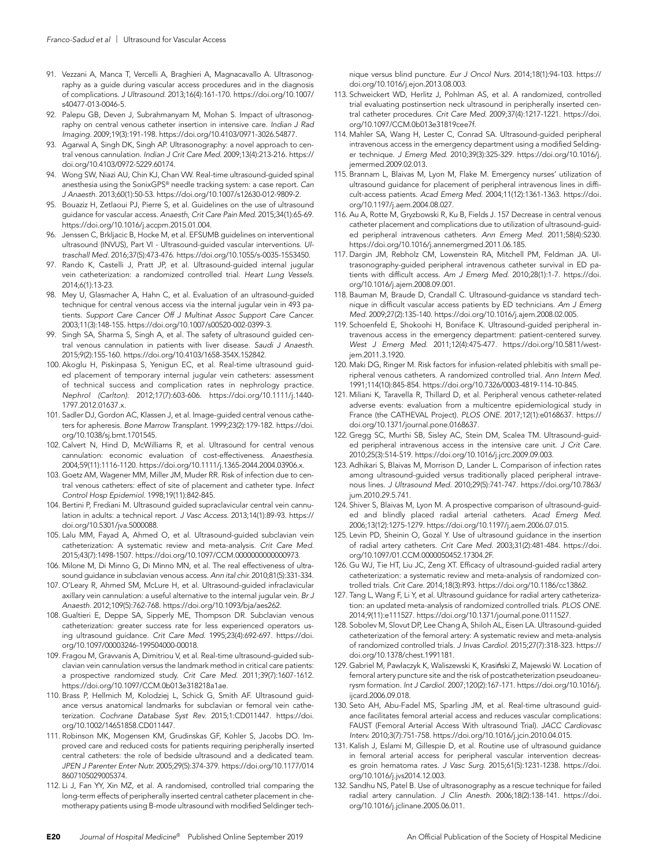- 91. Vezzani A, Manca T, Vercelli A, Braghieri A, Magnacavallo A. Ultrasonography as a guide during vascular access procedures and in the diagnosis of complications. *J Ultrasound.* 2013;16(4):161-170. https://doi.org/10.1007/ s40477-013-0046-5.
- 92. Palepu GB, Deven J, Subrahmanyam M, Mohan S. Impact of ultrasonography on central venous catheter insertion in intensive care. *Indian J Rad Imaging.* 2009;19(3):191-198. https://doi.org/10.4103/0971-3026.54877.
- 93. Agarwal A, Singh DK, Singh AP. Ultrasonography: a novel approach to central venous cannulation. *Indian J Crit Care Med.* 2009;13(4):213-216. https:// doi.org/10.4103/0972-5229.60174.
- 94. Wong SW, Niazi AU, Chin KJ, Chan VW. Real-time ultrasound-guided spinal anesthesia using the SonixGPS® needle tracking system: a case report. *Can J Anaesth.* 2013;60(1):50-53. https://doi.org/10.1007/s12630-012-9809-2.
- 95. Bouaziz H, Zetlaoui PJ, Pierre S, et al. Guidelines on the use of ultrasound guidance for vascular access. *Anaesth, Crit Care Pain Med.* 2015;34(1):65-69. https://doi.org/10.1016/j.accpm.2015.01.004.
- 96. Jenssen C, Brkljacic B, Hocke M, et al. EFSUMB guidelines on interventional ultrasound (INVUS), Part VI - Ultrasound-guided vascular interventions. *Ultraschall Med.* 2016;37(5):473-476. https://doi.org/10.1055/s-0035-1553450.
- Rando K, Castelli J, Pratt JP, et al. Ultrasound-guided internal jugular vein catheterization: a randomized controlled trial. *Heart Lung Vessels.*  2014;6(1):13-23.
- 98. Mey U, Glasmacher A, Hahn C, et al. Evaluation of an ultrasound-guided technique for central venous access via the internal jugular vein in 493 patients. *Support Care Cancer Off J Multinat Assoc Support Care Cancer.*  2003;11(3):148-155. https://doi.org/10.1007/s00520-002-0399-3.
- 99. Singh SA, Sharma S, Singh A, et al*.* The safety of ultrasound guided central venous cannulation in patients with liver disease. *Saudi J Anaesth.*  2015;9(2):155-160. https://doi.org/10.4103/1658-354X.152842.
- 100. Akoglu H, Piskinpasa S, Yenigun EC, et al*.* Real-time ultrasound guided placement of temporary internal jugular vein catheters: assessment of technical success and complication rates in nephrology practice. *Nephrol (Carlton).* 2012;17(7):603-606. https://doi.org/10.1111/j.1440- 1797.2012.01637.x.
- 101. Sadler DJ, Gordon AC, Klassen J, et al*.* Image-guided central venous catheters for apheresis. *Bone Marrow Transplant.* 1999;23(2):179-182. https://doi. org/10.1038/sj.bmt.1701545.
- 102. Calvert N, Hind D, McWilliams R, et al*.* Ultrasound for central venous cannulation: economic evaluation of cost-effectiveness. *Anaesthesia.*  2004;59(11):1116-1120. https://doi.org/10.1111/j.1365-2044.2004.03906.x.
- 103. Goetz AM, Wagener MM, Miller JM, Muder RR. Risk of infection due to central venous catheters: effect of site of placement and catheter type. *Infect Control Hosp Epidemiol.* 1998;19(11):842-845.
- 104. Bertini P, Frediani M. Ultrasound guided supraclavicular central vein cannulation in adults: a technical report. *J Vasc Access.* 2013;14(1):89-93. https:// doi.org/10.5301/jva.5000088.
- 105. Lalu MM, Fayad A, Ahmed O, et al. Ultrasound-guided subclavian vein catheterization: A systematic review and meta-analysis. *Crit Care Med.*  2015;43(7):1498-1507. https://doi.org/10.1097/CCM.0000000000000973.
- 106. Milone M, Di Minno G, Di Minno MN, et al. The real effectiveness of ultrasound guidance in subclavian venous access. *Ann ital chir.* 2010;81(5):331-334.
- 107. O'Leary R, Ahmed SM, McLure H, et al. Ultrasound-guided infraclavicular axillary vein cannulation: a useful alternative to the internal jugular vein. *Br J Anaesth.* 2012;109(5):762-768. https://doi.org/10.1093/bja/aes262.
- 108. Gualtieri E, Deppe SA, Sipperly ME, Thompson DR. Subclavian venous catheterization: greater success rate for less experienced operators using ultrasound guidance. *Crit Care Med.* 1995;23(4):692-697. https://doi. org/10.1097/00003246-199504000-00018.
- 109. Fragou M, Gravvanis A, Dimitriou V, et al. Real-time ultrasound-guided subclavian vein cannulation versus the landmark method in critical care patients: a prospective randomized study. *Crit Care Med.* 2011;39(7):1607-1612. https://doi.org/10.1097/CCM.0b013e318218a1ae.
- 110. Brass P, Hellmich M, Kolodziej L, Schick G, Smith AF. Ultrasound guidance versus anatomical landmarks for subclavian or femoral vein catheterization. *Cochrane Database Syst Rev.* 2015;1:CD011447. https://doi. org/10.1002/14651858.CD011447.
- 111. Robinson MK, Mogensen KM, Grudinskas GF, Kohler S, Jacobs DO. Improved care and reduced costs for patients requiring peripherally inserted central catheters: the role of bedside ultrasound and a dedicated team. *JPEN J Parenter Enter Nutr.* 2005;29(5):374-379. https://doi.org/10.1177/014 8607105029005374.
- 112. Li J, Fan YY, Xin MZ, et al. A randomised, controlled trial comparing the long-term effects of peripherally inserted central catheter placement in chemotherapy patients using B-mode ultrasound with modified Seldinger tech-

nique versus blind puncture. *Eur J Oncol Nurs.* 2014;18(1):94-103. https:// doi.org/10.1016/j.ejon.2013.08.003.

- 113. Schweickert WD, Herlitz J, Pohlman AS, et al*.* A randomized, controlled trial evaluating postinsertion neck ultrasound in peripherally inserted central catheter procedures. *Crit Care Med.* 2009;37(4):1217-1221. https://doi. org/10.1097/CCM.0b013e31819cee7f.
- 114. Mahler SA, Wang H, Lester C, Conrad SA. Ultrasound-guided peripheral intravenous access in the emergency department using a modified Seldinger technique. *J Emerg Med.* 2010;39(3):325-329. https://doi.org/10.1016/j. jemermed.2009.02.013.
- 115. Brannam L, Blaivas M, Lyon M, Flake M. Emergency nurses' utilization of ultrasound guidance for placement of peripheral intravenous lines in difficult-access patients. *Acad Emerg Med.* 2004;11(12):1361-1363. https://doi. org/10.1197/j.aem.2004.08.027.
- 116. Au A, Rotte M, Gryzbowski R, Ku B, Fields J. 157 Decrease in central venous catheter placement and complications due to utilization of ultrasound-guided peripheral intravenous catheters. *Ann Emerg Med.* 2011;58(4):S230. https://doi.org/10.1016/j.annemergmed.2011.06.185.
- 117. Dargin JM, Rebholz CM, Lowenstein RA, Mitchell PM, Feldman JA. Ultrasonography-guided peripheral intravenous catheter survival in ED patients with difficult access. *Am J Emerg Med.* 2010;28(1):1-7. https://doi. org/10.1016/j.ajem.2008.09.001.
- 118. Bauman M, Braude D, Crandall C. Ultrasound-guidance vs standard technique in difficult vascular access patients by ED technicians. *Am J Emerg Med.* 2009;27(2):135-140. https://doi.org/10.1016/j.ajem.2008.02.005.
- 119. Schoenfeld E, Shokoohi H, Boniface K. Ultrasound-guided peripheral intravenous access in the emergency department: patient-centered survey. *West J Emerg Med.* 2011;12(4):475-477. https://doi.org/10.5811/westjem.2011.3.1920.
- 120. Maki DG, Ringer M. Risk factors for infusion-related phlebitis with small peripheral venous catheters. A randomized controlled trial. *Ann Intern Med.*  1991;114(10):845-854. https://doi.org/10.7326/0003-4819-114-10-845.
- 121. Miliani K, Taravella R, Thillard D, et al. Peripheral venous catheter-related adverse events: evaluation from a multicentre epidemiological study in France (the CATHEVAL Project). *PLOS ONE.* 2017;12(1):e0168637. https:// doi.org/10.1371/journal.pone.0168637.
- 122. Gregg SC, Murthi SB, Sisley AC, Stein DM, Scalea TM. Ultrasound-guided peripheral intravenous access in the intensive care unit. *J Crit Care.*  2010;25(3):514-519. https://doi.org/10.1016/j.jcrc.2009.09.003.
- 123. Adhikari S, Blaivas M, Morrison D, Lander L. Comparison of infection rates among ultrasound-guided versus traditionally placed peripheral intravenous lines. *J Ultrasound Med.* 2010;29(5):741-747. https://doi.org/10.7863/ jum.2010.29.5.741.
- 124. Shiver S, Blaivas M, Lyon M. A prospective comparison of ultrasound-guided and blindly placed radial arterial catheters. *Acad Emerg Med.*  2006;13(12):1275-1279. https://doi.org/10.1197/j.aem.2006.07.015.
- 125. Levin PD, Sheinin O, Gozal Y. Use of ultrasound guidance in the insertion of radial artery catheters. *Crit Care Med.* 2003;31(2):481-484. https://doi. org/10.1097/01.CCM.0000050452.17304.2F.
- 126. Gu WJ, Tie HT, Liu JC, Zeng XT. Efficacy of ultrasound-guided radial artery catheterization: a systematic review and meta-analysis of randomized controlled trials. *Crit Care.* 2014;18(3):R93. https://doi.org/10.1186/cc13862.
- 127. Tang L, Wang F, Li Y, et al. Ultrasound guidance for radial artery catheterization: an updated meta-analysis of randomized controlled trials. *PLOS ONE.*  2014;9(11):e111527. https://doi.org/10.1371/journal.pone.0111527.
- 128. Sobolev M, Slovut DP, Lee Chang A, Shiloh AL, Eisen LA. Ultrasound-guided catheterization of the femoral artery: A systematic review and meta-analysis of randomized controlled trials. *J Invas Cardiol.* 2015;27(7):318-323. https:// doi.org/10.1378/chest.1991181.
- 129. Gabriel M, Pawlaczyk K, Waliszewski K, Krasiński Z, Majewski W. Location of femoral artery puncture site and the risk of postcatheterization pseudoaneurysm formation. *Int J Cardiol.* 2007;120(2):167-171. https://doi.org/10.1016/j. ijcard.2006.09.018.
- 130. Seto AH, Abu-Fadel MS, Sparling JM, et al. Real-time ultrasound guidance facilitates femoral arterial access and reduces vascular complications: FAUST (Femoral Arterial Access With ultrasound Trial). *JACC Cardiovasc Interv.* 2010;3(7):751-758. https://doi.org/10.1016/j.jcin.2010.04.015.
- 131. Kalish J, Eslami M, Gillespie D, et al. Routine use of ultrasound guidance in femoral arterial access for peripheral vascular intervention decreases groin hematoma rates. *J Vasc Surg.* 2015;61(5):1231-1238. https://doi. org/10.1016/j.jvs2014.12.003.
- 132. Sandhu NS, Patel B. Use of ultrasonography as a rescue technique for failed radial artery cannulation. *J Clin Anesth.* 2006;18(2):138-141. https://doi. org/10.1016/j.jclinane.2005.06.011.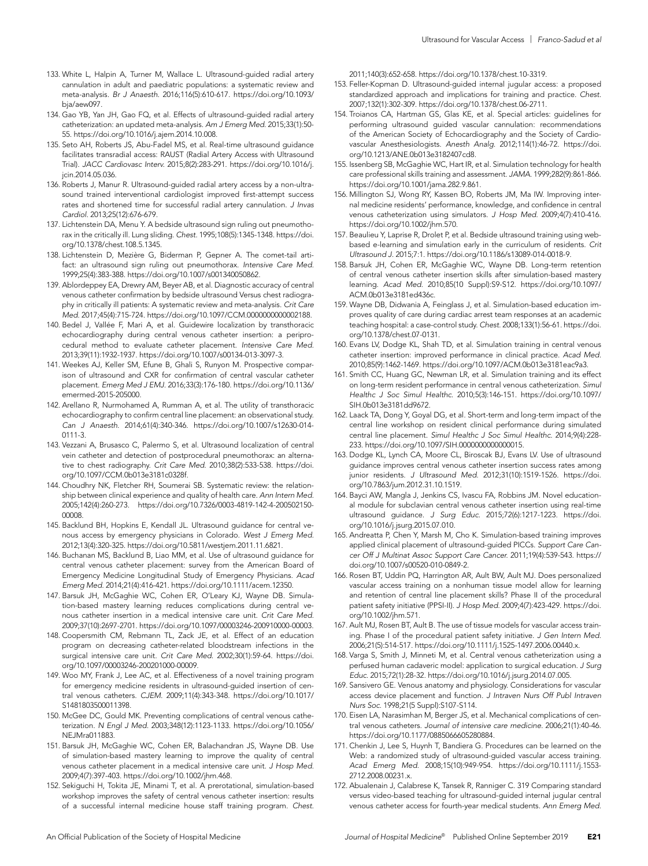- 133. White L, Halpin A, Turner M, Wallace L. Ultrasound-guided radial artery cannulation in adult and paediatric populations: a systematic review and meta-analysis. *Br J Anaesth.* 2016;116(5):610-617. https://doi.org/10.1093/ bja/aew097.
- 134. Gao YB, Yan JH, Gao FQ, et al*.* Effects of ultrasound-guided radial artery catheterization: an updated meta-analysis. *Am J Emerg Med.* 2015;33(1):50- 55. https://doi.org/10.1016/j.ajem.2014.10.008.
- 135. Seto AH, Roberts JS, Abu-Fadel MS, et al. Real-time ultrasound guidance facilitates transradial access: RAUST (Radial Artery Access with Ultrasound Trial). *JACC Cardiovasc Interv.* 2015;8(2):283-291. https://doi.org/10.1016/j. jcin.2014.05.036.
- 136. Roberts J, Manur R. Ultrasound-guided radial artery access by a non-ultrasound trained interventional cardiologist improved first-attempt success rates and shortened time for successful radial artery cannulation. *J Invas Cardiol.* 2013;25(12):676-679.
- 137. Lichtenstein DA, Menu Y. A bedside ultrasound sign ruling out pneumothorax in the critically ill. Lung sliding. *Chest.* 1995;108(5):1345-1348. https://doi. org/10.1378/chest.108.5.1345.
- 138. Lichtenstein D, Mezière G, Biderman P, Gepner A. The comet-tail artifact: an ultrasound sign ruling out pneumothorax. *Intensive Care Med.*  1999;25(4):383-388. https://doi.org/10.1007/s001340050862.
- 139. Ablordeppey EA, Drewry AM, Beyer AB, et al. Diagnostic accuracy of central venous catheter confirmation by bedside ultrasound Versus chest radiography in critically ill patients: A systematic review and meta-analysis. *Crit Care Med.* 2017;45(4):715-724. https://doi.org/10.1097/CCM.0000000000002188.
- 140. Bedel J, Vallée F, Mari A, et al. Guidewire localization by transthoracic echocardiography during central venous catheter insertion: a periprocedural method to evaluate catheter placement. *Intensive Care Med.*  2013;39(11):1932-1937. https://doi.org/10.1007/s00134-013-3097-3.
- 141. Weekes AJ, Keller SM, Efune B, Ghali S, Runyon M. Prospective comparison of ultrasound and CXR for confirmation of central vascular catheter placement. *Emerg Med J EMJ.* 2016;33(3):176-180. https://doi.org/10.1136/ emermed-2015-205000.
- 142. Arellano R, Nurmohamed A, Rumman A, et al. The utility of transthoracic echocardiography to confirm central line placement: an observational study. *Can J Anaesth.* 2014;61(4):340-346. https://doi.org/10.1007/s12630-014- 0111-3.
- 143. Vezzani A, Brusasco C, Palermo S, et al*.* Ultrasound localization of central vein catheter and detection of postprocedural pneumothorax: an alternative to chest radiography. *Crit Care Med.* 2010;38(2):533-538. https://doi. org/10.1097/CCM.0b013e3181c0328f.
- 144. Choudhry NK, Fletcher RH, Soumerai SB. Systematic review: the relationship between clinical experience and quality of health care. *Ann Intern Med.*  2005;142(4):260-273. https://doi.org/10.7326/0003-4819-142-4-200502150- 00008.
- 145. Backlund BH, Hopkins E, Kendall JL. Ultrasound guidance for central venous access by emergency physicians in Colorado. *West J Emerg Med.*  2012;13(4):320-325. https://doi.org/10.5811/westjem.2011.11.6821.
- 146. Buchanan MS, Backlund B, Liao MM, et al. Use of ultrasound guidance for central venous catheter placement: survey from the American Board of Emergency Medicine Longitudinal Study of Emergency Physicians. *Acad Emerg Med.* 2014;21(4):416-421. https://doi.org/10.1111/acem.12350.
- 147. Barsuk JH, McGaghie WC, Cohen ER, O'Leary KJ, Wayne DB. Simulation-based mastery learning reduces complications during central venous catheter insertion in a medical intensive care unit. *Crit Care Med.*  2009;37(10):2697-2701. https://doi.org/10.1097/00003246-200910000-00003.
- 148. Coopersmith CM, Rebmann TL, Zack JE, et al. Effect of an education program on decreasing catheter-related bloodstream infections in the surgical intensive care unit. *Crit Care Med.* 2002;30(1):59-64. https://doi. org/10.1097/00003246-200201000-00009.
- 149. Woo MY, Frank J, Lee AC, et al. Effectiveness of a novel training program for emergency medicine residents in ultrasound-guided insertion of central venous catheters. *CJEM.* 2009;11(4):343-348. https://doi.org/10.1017/ S1481803500011398.
- 150. McGee DC, Gould MK. Preventing complications of central venous catheterization. *N Engl J Med.* 2003;348(12):1123-1133. https://doi.org/10.1056/ NEJMra011883.
- 151. Barsuk JH, McGaghie WC, Cohen ER, Balachandran JS, Wayne DB. Use of simulation-based mastery learning to improve the quality of central venous catheter placement in a medical intensive care unit. *J Hosp Med.*  2009;4(7):397-403. https://doi.org/10.1002/jhm.468.
- 152. Sekiguchi H, Tokita JE, Minami T, et al*.* A prerotational, simulation-based workshop improves the safety of central venous catheter insertion: results of a successful internal medicine house staff training program. *Chest.*

2011;140(3):652-658. https://doi.org/10.1378/chest.10-3319.

- 153. Feller-Kopman D. Ultrasound-guided internal jugular access: a proposed standardized approach and implications for training and practice. *Chest.*  2007;132(1):302-309. https://doi.org/10.1378/chest.06-2711.
- 154. Troianos CA, Hartman GS, Glas KE, et al. Special articles: guidelines for performing ultrasound guided vascular cannulation: recommendations of the American Society of Echocardiography and the Society of Cardiovascular Anesthesiologists. *Anesth Analg.* 2012;114(1):46-72. https://doi. org/10.1213/ANE.0b013e3182407cd8.
- 155. Issenberg SB, McGaghie WC, Hart IR, et al. Simulation technology for health care professional skills training and assessment. *JAMA.* 1999;282(9):861-866. https://doi.org/10.1001/jama.282.9.861.
- 156. Millington SJ, Wong RY, Kassen BO, Roberts JM, Ma IW. Improving internal medicine residents' performance, knowledge, and confidence in central venous catheterization using simulators. *J Hosp Med.* 2009;4(7):410-416. https://doi.org/10.1002/jhm.570.
- 157. Beaulieu Y, Laprise R, Drolet P, et al. Bedside ultrasound training using webbased e-learning and simulation early in the curriculum of residents. *Crit Ultrasound J.* 2015;7:1. https://doi.org/10.1186/s13089-014-0018-9.
- 158. Barsuk JH, Cohen ER, McGaghie WC, Wayne DB. Long-term retention of central venous catheter insertion skills after simulation-based mastery learning. *Acad Med.* 2010;85(10 Suppl):S9-S12. https://doi.org/10.1097/ ACM.0b013e3181ed436c.
- 159. Wayne DB, Didwania A, Feinglass J, et al*.* Simulation-based education improves quality of care during cardiac arrest team responses at an academic teaching hospital: a case-control study. *Chest.* 2008;133(1):56-61. https://doi. org/10.1378/chest.07-0131.
- 160. Evans LV, Dodge KL, Shah TD, et al. Simulation training in central venous catheter insertion: improved performance in clinical practice. *Acad Med.*  2010;85(9):1462-1469. https://doi.org/10.1097/ACM.0b013e3181eac9a3.
- 161. Smith CC, Huang GC, Newman LR, et al. Simulation training and its effect on long-term resident performance in central venous catheterization. *Simul Healthc J Soc Simul Healthc.* 2010;5(3):146-151. https://doi.org/10.1097/ SIH.0b013e3181dd9672.
- 162. Laack TA, Dong Y, Goyal DG, et al*.* Short-term and long-term impact of the central line workshop on resident clinical performance during simulated central line placement. *Simul Healthc J Soc Simul Healthc.* 2014;9(4):228- 233. https://doi.org/10.1097/SIH.0000000000000015.
- 163. Dodge KL, Lynch CA, Moore CL, Biroscak BJ, Evans LV. Use of ultrasound guidance improves central venous catheter insertion success rates among junior residents. *J Ultrasound Med.* 2012;31(10):1519-1526. https://doi. org/10.7863/jum.2012.31.10.1519.
- 164. Bayci AW, Mangla J, Jenkins CS, Ivascu FA, Robbins JM. Novel educational module for subclavian central venous catheter insertion using real-time ultrasound guidance. *J Surg Educ.* 2015;72(6):1217-1223. https://doi. org/10.1016/j.jsurg.2015.07.010.
- 165. Andreatta P, Chen Y, Marsh M, Cho K. Simulation-based training improves applied clinical placement of ultrasound-guided PICCs. *Support Care Cancer Off J Multinat Assoc Support Care Cancer.* 2011;19(4):539-543. https:// doi.org/10.1007/s00520-010-0849-2.
- 166. Rosen BT, Uddin PQ, Harrington AR, Ault BW, Ault MJ. Does personalized vascular access training on a nonhuman tissue model allow for learning and retention of central line placement skills? Phase II of the procedural patient safety initiative (PPSI-II). *J Hosp Med.* 2009;4(7):423-429. https://doi. org/10.1002/jhm.571.
- 167. Ault MJ, Rosen BT, Ault B. The use of tissue models for vascular access training. Phase I of the procedural patient safety initiative. *J Gen Intern Med.*  2006;21(5):514-517. https://doi.org/10.1111/j.1525-1497.2006.00440.x.
- 168. Varga S, Smith J, Minneti M, et al. Central venous catheterization using a perfused human cadaveric model: application to surgical education. *J Surg Educ.* 2015;72(1):28-32. https://doi.org/10.1016/j.jsurg.2014.07.005.
- 169. Sansivero GE. Venous anatomy and physiology. Considerations for vascular access device placement and function. *J Intraven Nurs Off Publ Intraven Nurs Soc.* 1998;21(5 Suppl):S107-S114.
- 170. Eisen LA, Narasimhan M, Berger JS, et al*.* Mechanical complications of central venous catheters. *Journal of intensive care medicine.* 2006;21(1):40-46. https://doi.org/10.1177/0885066605280884.
- 171. Chenkin J, Lee S, Huynh T, Bandiera G. Procedures can be learned on the Web: a randomized study of ultrasound-guided vascular access training. *Acad Emerg Med.* 2008;15(10):949-954. https://doi.org/10.1111/j.1553- 2712.2008.00231.x.
- 172. Abualenain J, Calabrese K, Tansek R, Ranniger C. 319 Comparing standard versus video-based teaching for ultrasound-guided internal jugular central venous catheter access for fourth-year medical students. *Ann Emerg Med.*